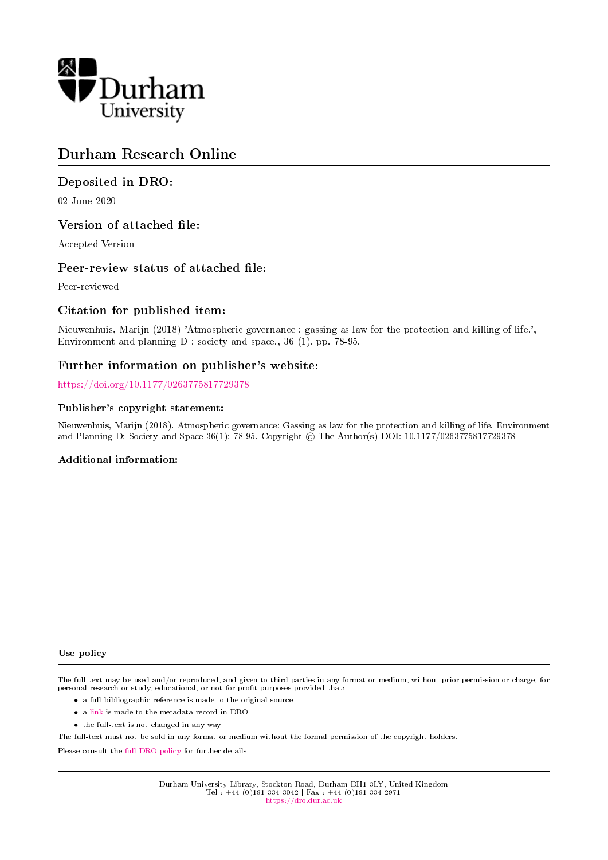

# Durham Research Online

# Deposited in DRO:

02 June 2020

# Version of attached file:

Accepted Version

# Peer-review status of attached file:

Peer-reviewed

# Citation for published item:

Nieuwenhuis, Marijn (2018) 'Atmospheric governance : gassing as law for the protection and killing of life.', Environment and planning D : society and space., 36 (1). pp. 78-95.

# Further information on publisher's website:

<https://doi.org/10.1177/0263775817729378>

### Publisher's copyright statement:

Nieuwenhuis, Marijn (2018). Atmospheric governance: Gassing as law for the protection and killing of life. Environment and Planning D: Society and Space 36(1): 78-95. Copyright © The Author(s) DOI: 10.1177/0263775817729378

### Additional information:

#### Use policy

The full-text may be used and/or reproduced, and given to third parties in any format or medium, without prior permission or charge, for personal research or study, educational, or not-for-profit purposes provided that:

- a full bibliographic reference is made to the original source
- a [link](http://dro.dur.ac.uk/30962/) is made to the metadata record in DRO
- the full-text is not changed in any way

The full-text must not be sold in any format or medium without the formal permission of the copyright holders.

Please consult the [full DRO policy](https://dro.dur.ac.uk/policies/usepolicy.pdf) for further details.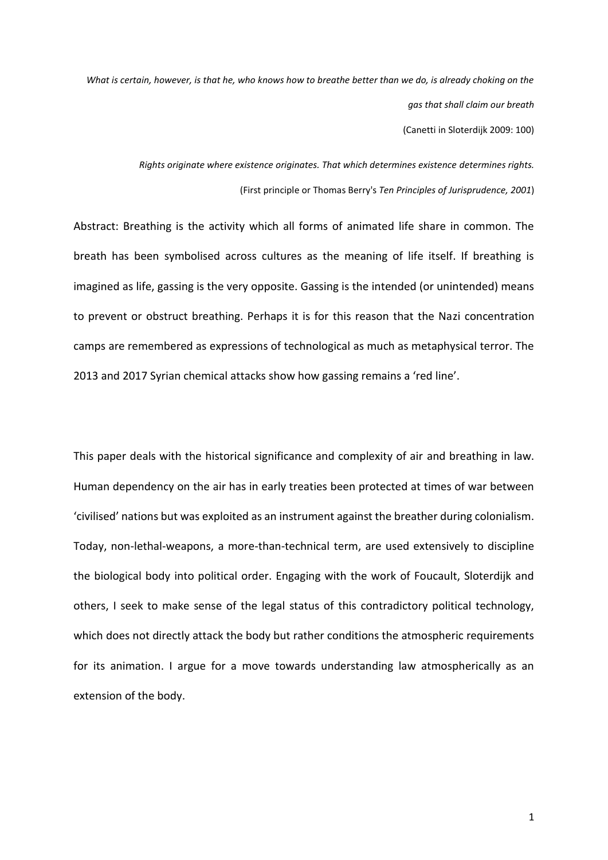*What is certain, however, is that he, who knows how to breathe better than we do, is already choking on the gas that shall claim our breath* (Canetti in Sloterdijk 2009: 100)

> *Rights originate where existence originates. That which determines existence determines rights.* (First principle or Thomas Berry's *Ten Principles of Jurisprudence, 2001*)

Abstract: Breathing is the activity which all forms of animated life share in common. The breath has been symbolised across cultures as the meaning of life itself. If breathing is imagined as life, gassing is the very opposite. Gassing is the intended (or unintended) means to prevent or obstruct breathing. Perhaps it is for this reason that the Nazi concentration camps are remembered as expressions of technological as much as metaphysical terror. The 2013 and 2017 Syrian chemical attacks show how gassing remains a 'red line'.

This paper deals with the historical significance and complexity of air and breathing in law. Human dependency on the air has in early treaties been protected at times of war between 'civilised' nations but was exploited as an instrument against the breather during colonialism. Today, non-lethal-weapons, a more-than-technical term, are used extensively to discipline the biological body into political order. Engaging with the work of Foucault, Sloterdijk and others, I seek to make sense of the legal status of this contradictory political technology, which does not directly attack the body but rather conditions the atmospheric requirements for its animation. I argue for a move towards understanding law atmospherically as an extension of the body.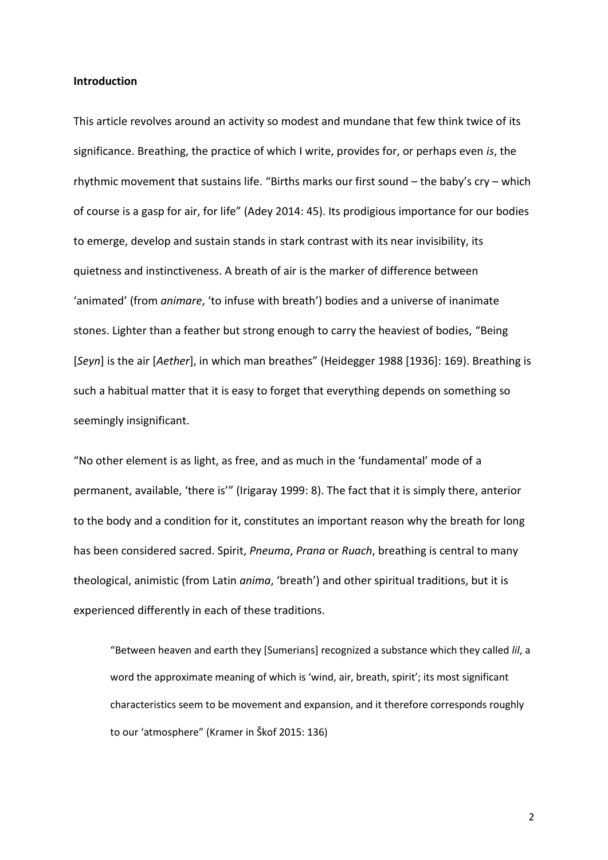### **Introduction**

This article revolves around an activity so modest and mundane that few think twice of its significance. Breathing, the practice of which I write, provides for, or perhaps even *is*, the rhythmic movement that sustains life. "Births marks our first sound – the baby's cry – which of course is a gasp for air, for life" (Adey 2014: 45). Its prodigious importance for our bodies to emerge, develop and sustain stands in stark contrast with its near invisibility, its quietness and instinctiveness. A breath of air is the marker of difference between 'animated' (from *animare*, 'to infuse with breath') bodies and a universe of inanimate stones. Lighter than a feather but strong enough to carry the heaviest of bodies, "Being [*Seyn*] is the air [*Aether*], in which man breathes" (Heidegger 1988 [1936]: 169). Breathing is such a habitual matter that it is easy to forget that everything depends on something so seemingly insignificant.

"No other element is as light, as free, and as much in the 'fundamental' mode of a permanent, available, 'there is'" (Irigaray 1999: 8). The fact that it is simply there, anterior to the body and a condition for it, constitutes an important reason why the breath for long has been considered sacred. Spirit, *Pneuma*, *Prana* or *Ruach*, breathing is central to many theological, animistic (from Latin *anima*, 'breath') and other spiritual traditions, but it is experienced differently in each of these traditions.

"Between heaven and earth they [Sumerians] recognized a substance which they called *lil*, a word the approximate meaning of which is 'wind, air, breath, spirit'; its most significant characteristics seem to be movement and expansion, and it therefore corresponds roughly to our 'atmosphere" (Kramer in Škof 2015: 136)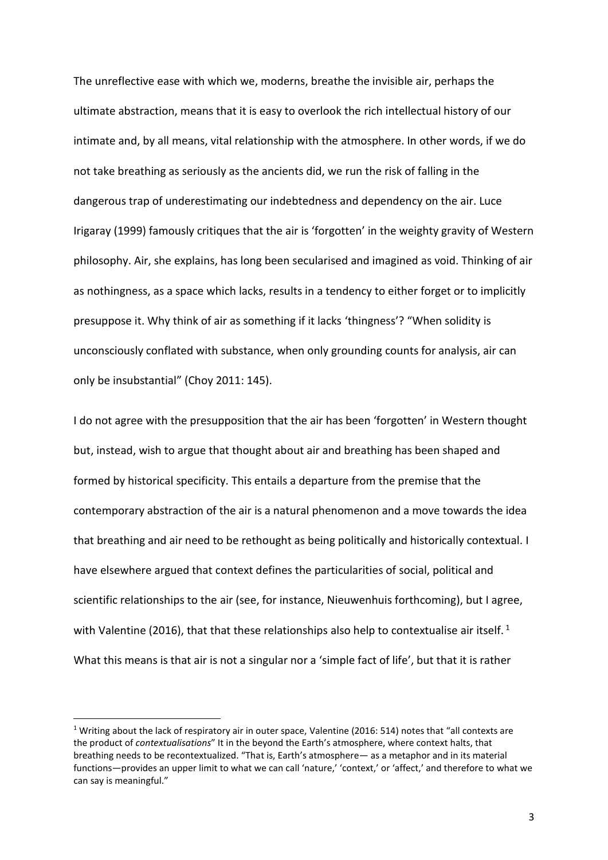The unreflective ease with which we, moderns, breathe the invisible air, perhaps the ultimate abstraction, means that it is easy to overlook the rich intellectual history of our intimate and, by all means, vital relationship with the atmosphere. In other words, if we do not take breathing as seriously as the ancients did, we run the risk of falling in the dangerous trap of underestimating our indebtedness and dependency on the air. Luce Irigaray (1999) famously critiques that the air is 'forgotten' in the weighty gravity of Western philosophy. Air, she explains, has long been secularised and imagined as void. Thinking of air as nothingness, as a space which lacks, results in a tendency to either forget or to implicitly presuppose it. Why think of air as something if it lacks 'thingness'? "When solidity is unconsciously conflated with substance, when only grounding counts for analysis, air can only be insubstantial" (Choy 2011: 145).

I do not agree with the presupposition that the air has been 'forgotten' in Western thought but, instead, wish to argue that thought about air and breathing has been shaped and formed by historical specificity. This entails a departure from the premise that the contemporary abstraction of the air is a natural phenomenon and a move towards the idea that breathing and air need to be rethought as being politically and historically contextual. I have elsewhere argued that context defines the particularities of social, political and scientific relationships to the air (see, for instance, Nieuwenhuis forthcoming), but I agree, with Valentine (2016), that that these relationships also help to contextualise air itself.<sup>1</sup> What this means is that air is not a singular nor a 'simple fact of life', but that it is rather

**.** 

<sup>&</sup>lt;sup>1</sup> Writing about the lack of respiratory air in outer space, Valentine (2016: 514) notes that "all contexts are the product of *contextualisations*" It in the beyond the Earth's atmosphere, where context halts, that breathing needs to be recontextualized. "That is, Earth's atmosphere— as a metaphor and in its material functions—provides an upper limit to what we can call 'nature,' 'context,' or 'affect,' and therefore to what we can say is meaningful."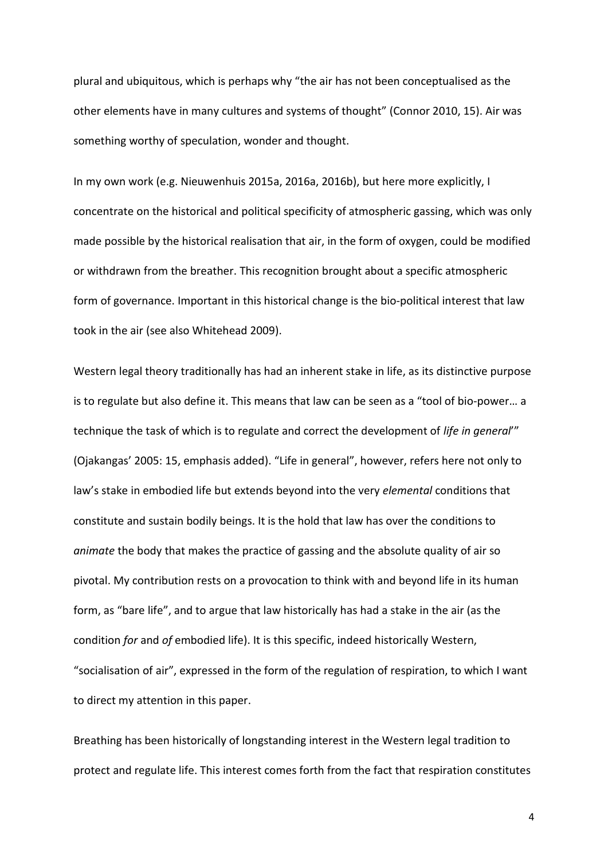plural and ubiquitous, which is perhaps why "the air has not been conceptualised as the other elements have in many cultures and systems of thought" (Connor 2010, 15). Air was something worthy of speculation, wonder and thought.

In my own work (e.g. Nieuwenhuis 2015a, 2016a, 2016b), but here more explicitly, I concentrate on the historical and political specificity of atmospheric gassing, which was only made possible by the historical realisation that air, in the form of oxygen, could be modified or withdrawn from the breather. This recognition brought about a specific atmospheric form of governance. Important in this historical change is the bio-political interest that law took in the air (see also Whitehead 2009).

Western legal theory traditionally has had an inherent stake in life, as its distinctive purpose is to regulate but also define it. This means that law can be seen as a "tool of bio‐power… a technique the task of which is to regulate and correct the development of *life in general*'" (Ojakangas' 2005: 15, emphasis added). "Life in general", however, refers here not only to law's stake in embodied life but extends beyond into the very *elemental* conditions that constitute and sustain bodily beings. It is the hold that law has over the conditions to *animate* the body that makes the practice of gassing and the absolute quality of air so pivotal. My contribution rests on a provocation to think with and beyond life in its human form, as "bare life", and to argue that law historically has had a stake in the air (as the condition *for* and *of* embodied life). It is this specific, indeed historically Western, "socialisation of air", expressed in the form of the regulation of respiration, to which I want to direct my attention in this paper.

Breathing has been historically of longstanding interest in the Western legal tradition to protect and regulate life. This interest comes forth from the fact that respiration constitutes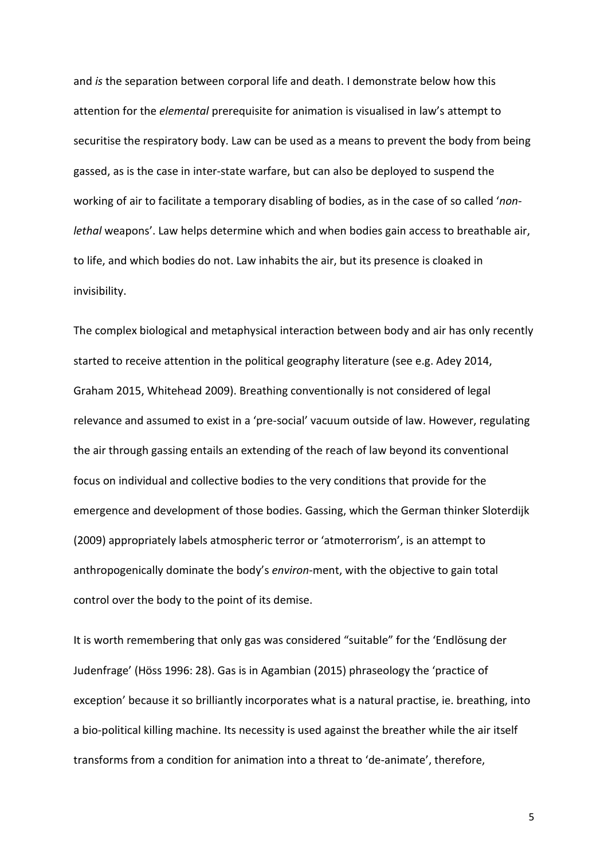and *is* the separation between corporal life and death. I demonstrate below how this attention for the *elemental* prerequisite for animation is visualised in law's attempt to securitise the respiratory body. Law can be used as a means to prevent the body from being gassed, as is the case in inter-state warfare, but can also be deployed to suspend the working of air to facilitate a temporary disabling of bodies, as in the case of so called '*nonlethal* weapons'. Law helps determine which and when bodies gain access to breathable air, to life, and which bodies do not. Law inhabits the air, but its presence is cloaked in invisibility.

The complex biological and metaphysical interaction between body and air has only recently started to receive attention in the political geography literature (see e.g. Adey 2014, Graham 2015, Whitehead 2009). Breathing conventionally is not considered of legal relevance and assumed to exist in a 'pre-social' vacuum outside of law. However, regulating the air through gassing entails an extending of the reach of law beyond its conventional focus on individual and collective bodies to the very conditions that provide for the emergence and development of those bodies. Gassing, which the German thinker Sloterdijk (2009) appropriately labels atmospheric terror or 'atmoterrorism', is an attempt to anthropogenically dominate the body's *environ*-ment, with the objective to gain total control over the body to the point of its demise.

It is worth remembering that only gas was considered "suitable" for the 'Endlösung der Judenfrage' (Höss 1996: 28). Gas is in Agambian (2015) phraseology the 'practice of exception' because it so brilliantly incorporates what is a natural practise, ie. breathing, into a bio-political killing machine. Its necessity is used against the breather while the air itself transforms from a condition for animation into a threat to 'de-animate', therefore,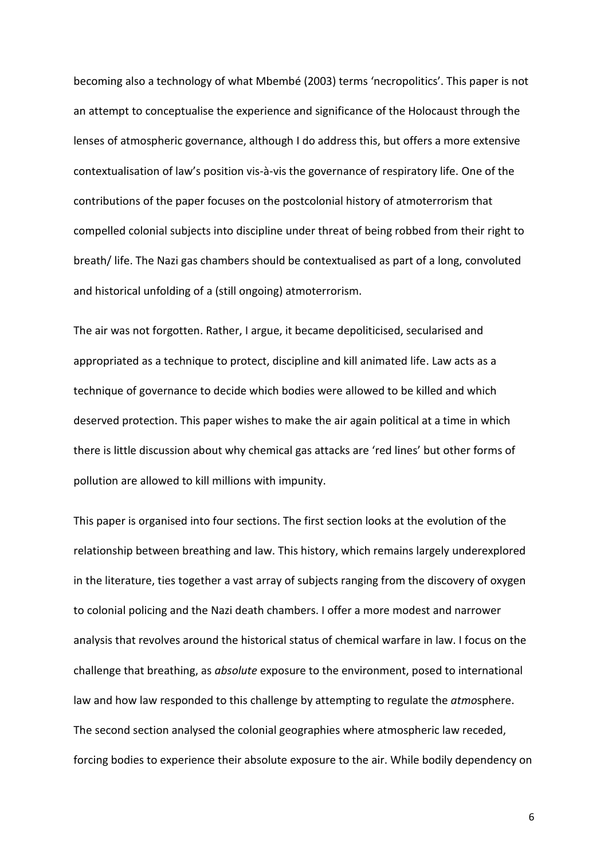becoming also a technology of what Mbembé (2003) terms 'necropolitics'. This paper is not an attempt to conceptualise the experience and significance of the Holocaust through the lenses of atmospheric governance, although I do address this, but offers a more extensive contextualisation of law's position vis-à-vis the governance of respiratory life. One of the contributions of the paper focuses on the postcolonial history of atmoterrorism that compelled colonial subjects into discipline under threat of being robbed from their right to breath/ life. The Nazi gas chambers should be contextualised as part of a long, convoluted and historical unfolding of a (still ongoing) atmoterrorism.

The air was not forgotten. Rather, I argue, it became depoliticised, secularised and appropriated as a technique to protect, discipline and kill animated life. Law acts as a technique of governance to decide which bodies were allowed to be killed and which deserved protection. This paper wishes to make the air again political at a time in which there is little discussion about why chemical gas attacks are 'red lines' but other forms of pollution are allowed to kill millions with impunity.

This paper is organised into four sections. The first section looks at the evolution of the relationship between breathing and law. This history, which remains largely underexplored in the literature, ties together a vast array of subjects ranging from the discovery of oxygen to colonial policing and the Nazi death chambers. I offer a more modest and narrower analysis that revolves around the historical status of chemical warfare in law. I focus on the challenge that breathing, as *absolute* exposure to the environment, posed to international law and how law responded to this challenge by attempting to regulate the *atmo*sphere. The second section analysed the colonial geographies where atmospheric law receded, forcing bodies to experience their absolute exposure to the air. While bodily dependency on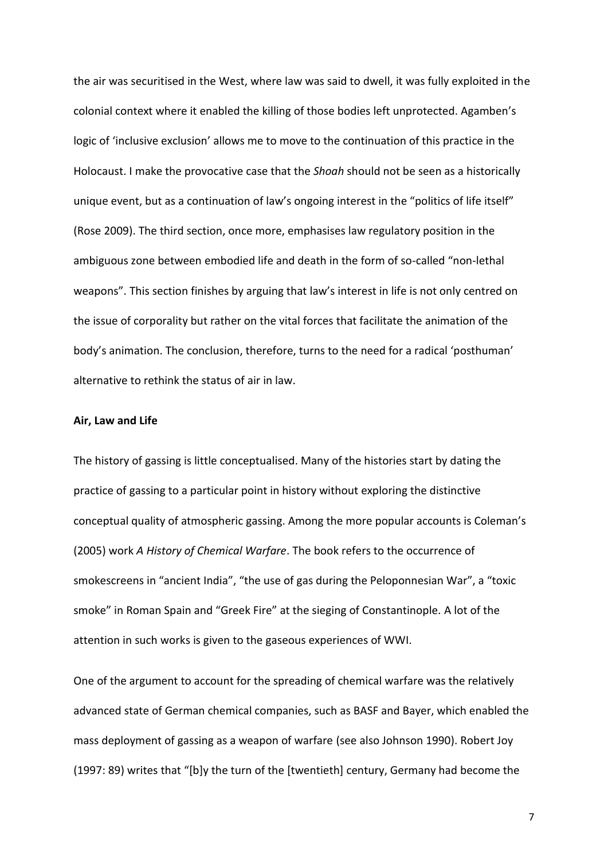the air was securitised in the West, where law was said to dwell, it was fully exploited in the colonial context where it enabled the killing of those bodies left unprotected. Agamben's logic of 'inclusive exclusion' allows me to move to the continuation of this practice in the Holocaust. I make the provocative case that the *Shoah* should not be seen as a historically unique event, but as a continuation of law's ongoing interest in the "politics of life itself" (Rose 2009). The third section, once more, emphasises law regulatory position in the ambiguous zone between embodied life and death in the form of so-called "non-lethal weapons". This section finishes by arguing that law's interest in life is not only centred on the issue of corporality but rather on the vital forces that facilitate the animation of the body's animation. The conclusion, therefore, turns to the need for a radical 'posthuman' alternative to rethink the status of air in law.

### **Air, Law and Life**

The history of gassing is little conceptualised. Many of the histories start by dating the practice of gassing to a particular point in history without exploring the distinctive conceptual quality of atmospheric gassing. Among the more popular accounts is Coleman's (2005) work *A History of Chemical Warfare*. The book refers to the occurrence of smokescreens in "ancient India", "the use of gas during the Peloponnesian War", a "toxic smoke" in Roman Spain and "Greek Fire" at the sieging of Constantinople. A lot of the attention in such works is given to the gaseous experiences of WWI.

One of the argument to account for the spreading of chemical warfare was the relatively advanced state of German chemical companies, such as BASF and Bayer, which enabled the mass deployment of gassing as a weapon of warfare (see also Johnson 1990). Robert Joy (1997: 89) writes that "[b]y the turn of the [twentieth] century, Germany had become the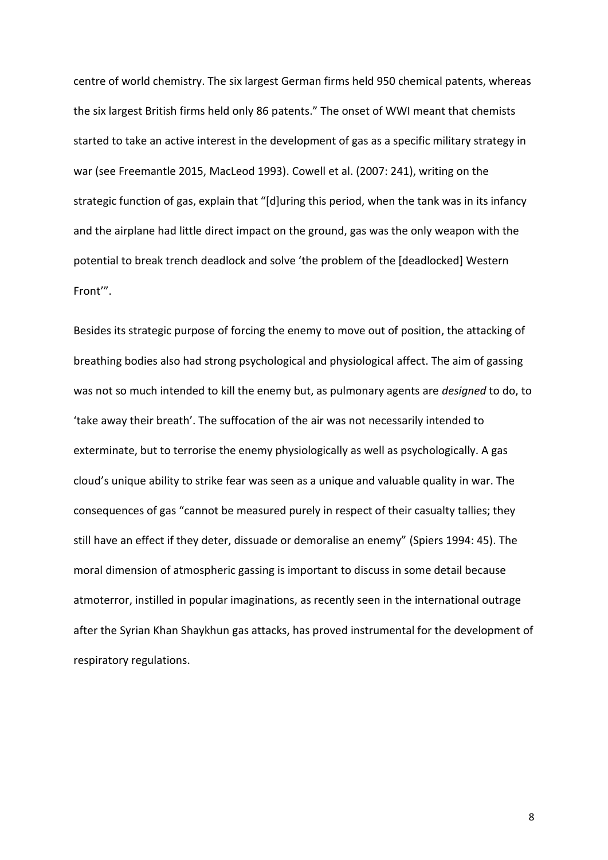centre of world chemistry. The six largest German firms held 950 chemical patents, whereas the six largest British firms held only 86 patents." The onset of WWI meant that chemists started to take an active interest in the development of gas as a specific military strategy in war (see Freemantle 2015, MacLeod 1993). Cowell et al. (2007: 241), writing on the strategic function of gas, explain that "[d]uring this period, when the tank was in its infancy and the airplane had little direct impact on the ground, gas was the only weapon with the potential to break trench deadlock and solve 'the problem of the [deadlocked] Western Front'".

Besides its strategic purpose of forcing the enemy to move out of position, the attacking of breathing bodies also had strong psychological and physiological affect. The aim of gassing was not so much intended to kill the enemy but, as pulmonary agents are *designed* to do, to 'take away their breath'. The suffocation of the air was not necessarily intended to exterminate, but to terrorise the enemy physiologically as well as psychologically. A gas cloud's unique ability to strike fear was seen as a unique and valuable quality in war. The consequences of gas "cannot be measured purely in respect of their casualty tallies; they still have an effect if they deter, dissuade or demoralise an enemy" (Spiers 1994: 45). The moral dimension of atmospheric gassing is important to discuss in some detail because atmoterror, instilled in popular imaginations, as recently seen in the international outrage after the Syrian Khan Shaykhun gas attacks, has proved instrumental for the development of respiratory regulations.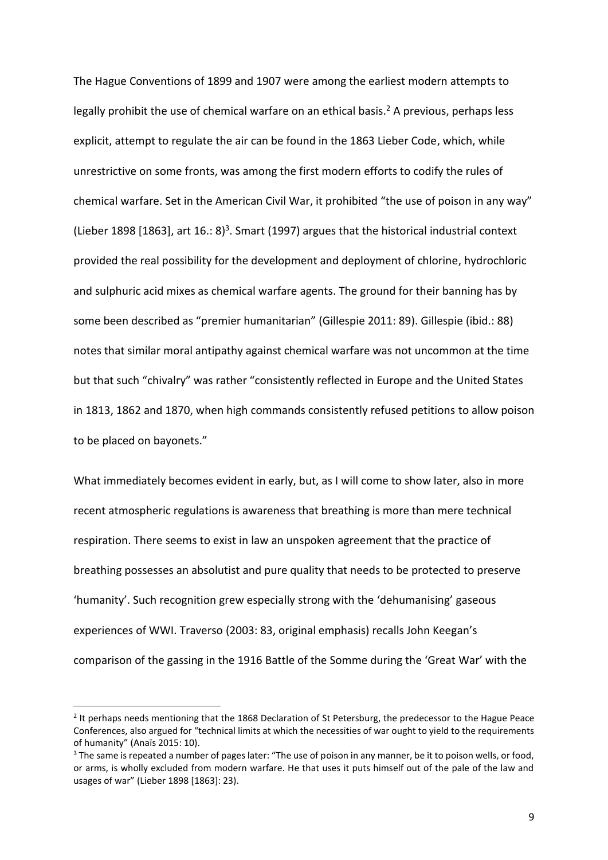The Hague Conventions of 1899 and 1907 were among the earliest modern attempts to legally prohibit the use of chemical warfare on an ethical basis.<sup>2</sup> A previous, perhaps less explicit, attempt to regulate the air can be found in the 1863 Lieber Code, which, while unrestrictive on some fronts, was among the first modern efforts to codify the rules of chemical warfare. Set in the American Civil War, it prohibited "the use of poison in any way" (Lieber 1898 [1863], art 16.: 8)<sup>3</sup>. Smart (1997) argues that the historical industrial context provided the real possibility for the development and deployment of chlorine, hydrochloric and sulphuric acid mixes as chemical warfare agents. The ground for their banning has by some been described as "premier humanitarian" (Gillespie 2011: 89). Gillespie (ibid.: 88) notes that similar moral antipathy against chemical warfare was not uncommon at the time but that such "chivalry" was rather "consistently reflected in Europe and the United States in 1813, 1862 and 1870, when high commands consistently refused petitions to allow poison to be placed on bayonets."

What immediately becomes evident in early, but, as I will come to show later, also in more recent atmospheric regulations is awareness that breathing is more than mere technical respiration. There seems to exist in law an unspoken agreement that the practice of breathing possesses an absolutist and pure quality that needs to be protected to preserve 'humanity'. Such recognition grew especially strong with the 'dehumanising' gaseous experiences of WWI. Traverso (2003: 83, original emphasis) recalls John Keegan's comparison of the gassing in the 1916 Battle of the Somme during the 'Great War' with the

**.** 

<sup>&</sup>lt;sup>2</sup> It perhaps needs mentioning that the 1868 Declaration of St Petersburg, the predecessor to the Hague Peace Conferences, also argued for "technical limits at which the necessities of war ought to yield to the requirements of humanity" (Anaïs 2015: 10).

<sup>&</sup>lt;sup>3</sup> The same is repeated a number of pages later: "The use of poison in any manner, be it to poison wells, or food, or arms, is wholly excluded from modern warfare. He that uses it puts himself out of the pale of the law and usages of war" (Lieber 1898 [1863]: 23).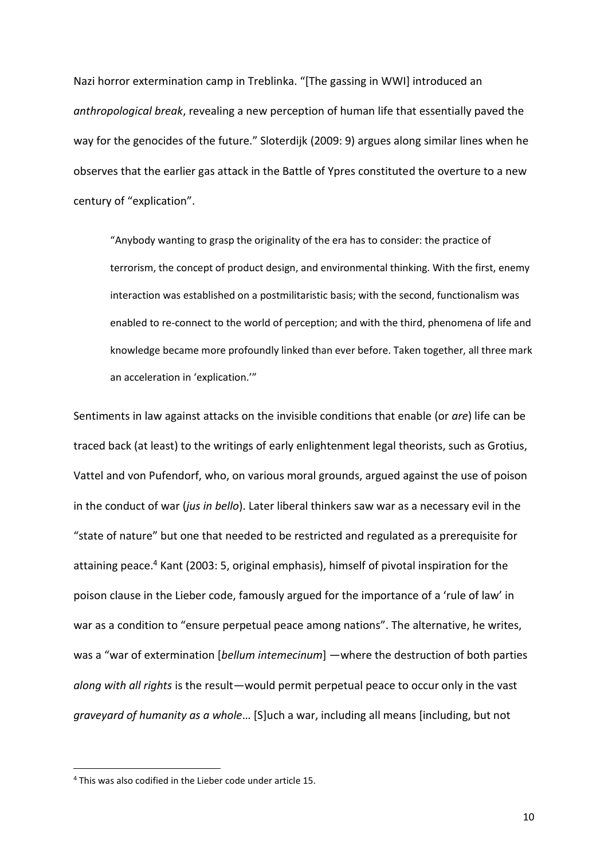Nazi horror extermination camp in Treblinka. "[The gassing in WWI] introduced an *anthropological break*, revealing a new perception of human life that essentially paved the way for the genocides of the future." Sloterdijk (2009: 9) argues along similar lines when he observes that the earlier gas attack in the Battle of Ypres constituted the overture to a new century of "explication".

"Anybody wanting to grasp the originality of the era has to consider: the practice of terrorism, the concept of product design, and environmental thinking. With the first, enemy interaction was established on a postmilitaristic basis; with the second, functionalism was enabled to re-connect to the world of perception; and with the third, phenomena of life and knowledge became more profoundly linked than ever before. Taken together, all three mark an acceleration in 'explication.'"

Sentiments in law against attacks on the invisible conditions that enable (or *are*) life can be traced back (at least) to the writings of early enlightenment legal theorists, such as Grotius, Vattel and von Pufendorf, who, on various moral grounds, argued against the use of poison in the conduct of war (*jus in bello*). Later liberal thinkers saw war as a necessary evil in the "state of nature" but one that needed to be restricted and regulated as a prerequisite for attaining peace. <sup>4</sup> Kant (2003: 5, original emphasis), himself of pivotal inspiration for the poison clause in the Lieber code, famously argued for the importance of a 'rule of law' in war as a condition to "ensure perpetual peace among nations". The alternative, he writes, was a "war of extermination [*bellum intemecinum*] —where the destruction of both parties *along with all rights* is the result—would permit perpetual peace to occur only in the vast *graveyard of humanity as a whole*… [S]uch a war, including all means [including, but not

**.** 

<sup>4</sup> This was also codified in the Lieber code under article 15.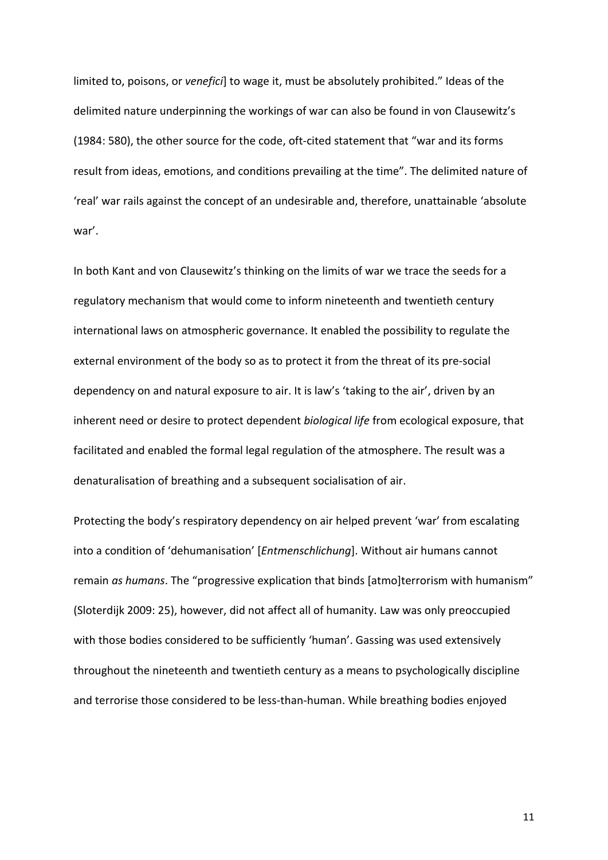limited to, poisons, or *venefici*] to wage it, must be absolutely prohibited." Ideas of the delimited nature underpinning the workings of war can also be found in von Clausewitz's (1984: 580), the other source for the code, oft-cited statement that "war and its forms result from ideas, emotions, and conditions prevailing at the time". The delimited nature of 'real' war rails against the concept of an undesirable and, therefore, unattainable 'absolute war'.

In both Kant and von Clausewitz's thinking on the limits of war we trace the seeds for a regulatory mechanism that would come to inform nineteenth and twentieth century international laws on atmospheric governance. It enabled the possibility to regulate the external environment of the body so as to protect it from the threat of its pre-social dependency on and natural exposure to air. It is law's 'taking to the air', driven by an inherent need or desire to protect dependent *biological life* from ecological exposure, that facilitated and enabled the formal legal regulation of the atmosphere. The result was a denaturalisation of breathing and a subsequent socialisation of air.

Protecting the body's respiratory dependency on air helped prevent 'war' from escalating into a condition of 'dehumanisation' [*Entmenschlichung*]. Without air humans cannot remain *as humans*. The "progressive explication that binds [atmo]terrorism with humanism" (Sloterdijk 2009: 25), however, did not affect all of humanity. Law was only preoccupied with those bodies considered to be sufficiently 'human'. Gassing was used extensively throughout the nineteenth and twentieth century as a means to psychologically discipline and terrorise those considered to be less-than-human. While breathing bodies enjoyed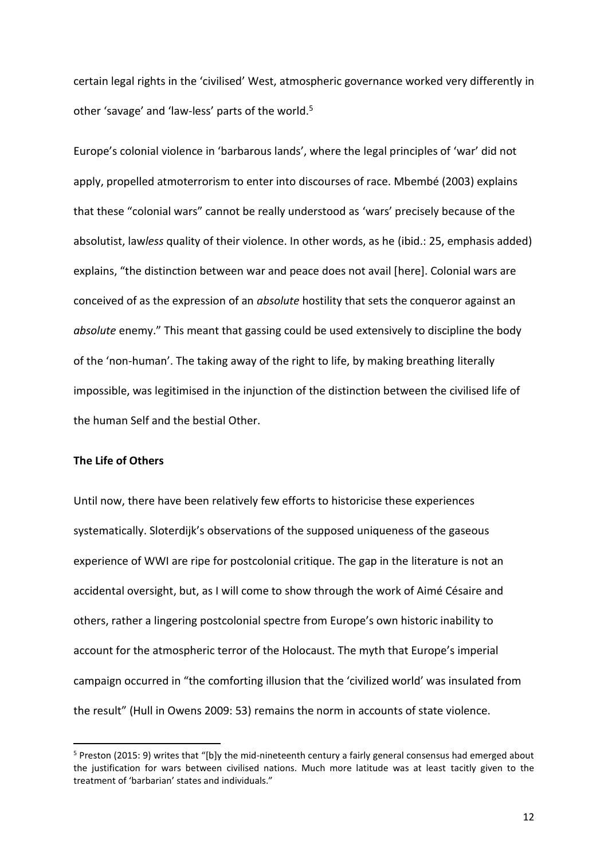certain legal rights in the 'civilised' West, atmospheric governance worked very differently in other 'savage' and 'law-less' parts of the world.<sup>5</sup>

Europe's colonial violence in 'barbarous lands', where the legal principles of 'war' did not apply, propelled atmoterrorism to enter into discourses of race. Mbembé (2003) explains that these "colonial wars" cannot be really understood as 'wars' precisely because of the absolutist, law*less* quality of their violence. In other words, as he (ibid.: 25, emphasis added) explains, "the distinction between war and peace does not avail [here]. Colonial wars are conceived of as the expression of an *absolute* hostility that sets the conqueror against an *absolute* enemy." This meant that gassing could be used extensively to discipline the body of the 'non-human'. The taking away of the right to life, by making breathing literally impossible, was legitimised in the injunction of the distinction between the civilised life of the human Self and the bestial Other.

### **The Life of Others**

**.** 

Until now, there have been relatively few efforts to historicise these experiences systematically. Sloterdijk's observations of the supposed uniqueness of the gaseous experience of WWI are ripe for postcolonial critique. The gap in the literature is not an accidental oversight, but, as I will come to show through the work of Aimé Césaire and others, rather a lingering postcolonial spectre from Europe's own historic inability to account for the atmospheric terror of the Holocaust. The myth that Europe's imperial campaign occurred in "the comforting illusion that the 'civilized world' was insulated from the result" (Hull in Owens 2009: 53) remains the norm in accounts of state violence.

<sup>5</sup> Preston (2015: 9) writes that "[b]y the mid-nineteenth century a fairly general consensus had emerged about the justification for wars between civilised nations. Much more latitude was at least tacitly given to the treatment of 'barbarian' states and individuals."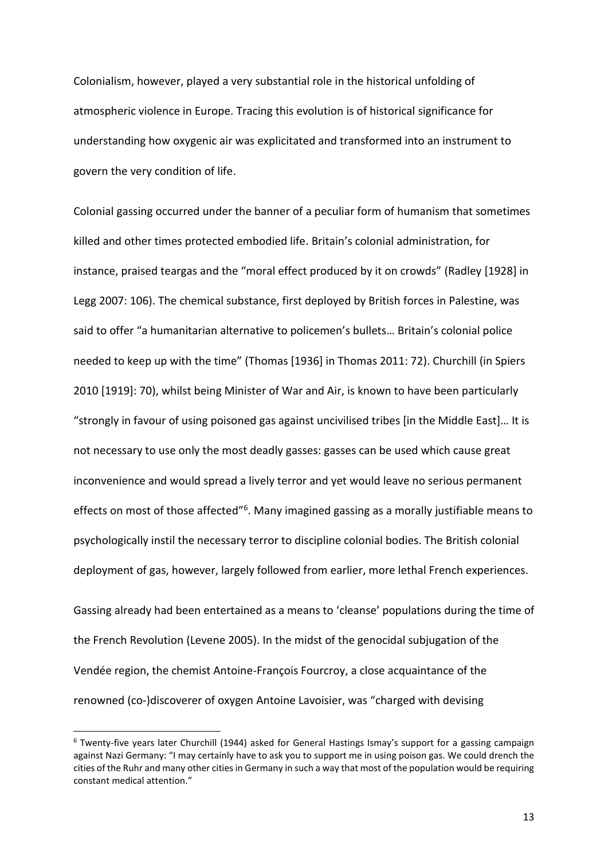Colonialism, however, played a very substantial role in the historical unfolding of atmospheric violence in Europe. Tracing this evolution is of historical significance for understanding how oxygenic air was explicitated and transformed into an instrument to govern the very condition of life.

Colonial gassing occurred under the banner of a peculiar form of humanism that sometimes killed and other times protected embodied life. Britain's colonial administration, for instance, praised teargas and the "moral effect produced by it on crowds" (Radley [1928] in Legg 2007: 106). The chemical substance, first deployed by British forces in Palestine, was said to offer "a humanitarian alternative to policemen's bullets… Britain's colonial police needed to keep up with the time" (Thomas [1936] in Thomas 2011: 72). Churchill (in Spiers 2010 [1919]: 70), whilst being Minister of War and Air, is known to have been particularly "strongly in favour of using poisoned gas against uncivilised tribes [in the Middle East]… It is not necessary to use only the most deadly gasses: gasses can be used which cause great inconvenience and would spread a lively terror and yet would leave no serious permanent effects on most of those affected"<sup>6</sup>. Many imagined gassing as a morally justifiable means to psychologically instil the necessary terror to discipline colonial bodies. The British colonial deployment of gas, however, largely followed from earlier, more lethal French experiences.

Gassing already had been entertained as a means to 'cleanse' populations during the time of the French Revolution (Levene 2005). In the midst of the genocidal subjugation of the Vendée region, the chemist Antoine-François Fourcroy, a close acquaintance of the renowned (co-)discoverer of oxygen Antoine Lavoisier, was "charged with devising

<sup>&</sup>lt;sup>6</sup> Twenty-five years later Churchill (1944) asked for General Hastings Ismay's support for a gassing campaign against Nazi Germany: "I may certainly have to ask you to support me in using poison gas. We could drench the cities of the Ruhr and many other cities in Germany in such a way that most of the population would be requiring constant medical attention."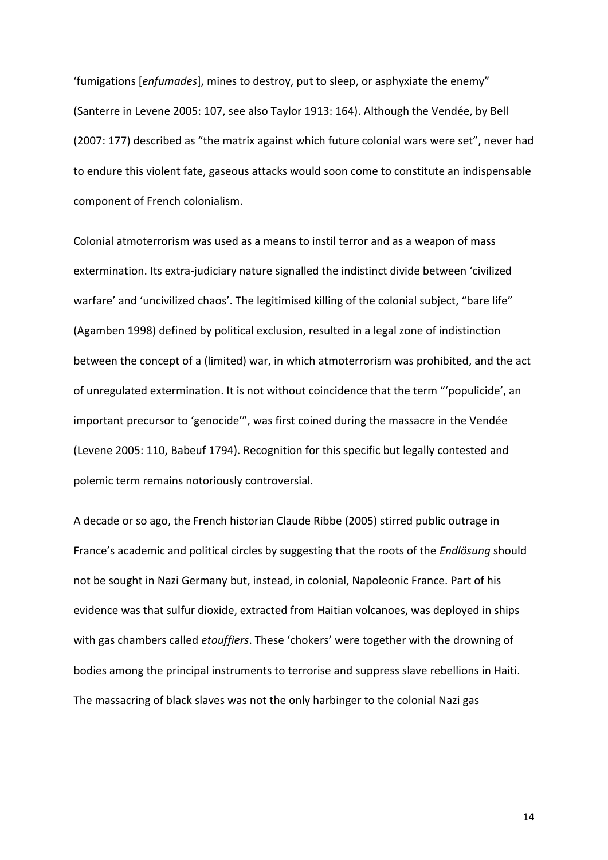'fumigations [*enfumades*], mines to destroy, put to sleep, or asphyxiate the enemy" (Santerre in Levene 2005: 107, see also Taylor 1913: 164). Although the Vendée, by Bell (2007: 177) described as "the matrix against which future colonial wars were set", never had to endure this violent fate, gaseous attacks would soon come to constitute an indispensable component of French colonialism.

Colonial atmoterrorism was used as a means to instil terror and as a weapon of mass extermination. Its extra-judiciary nature signalled the indistinct divide between 'civilized warfare' and 'uncivilized chaos'. The legitimised killing of the colonial subject, "bare life" (Agamben 1998) defined by political exclusion, resulted in a legal zone of indistinction between the concept of a (limited) war, in which atmoterrorism was prohibited, and the act of unregulated extermination. It is not without coincidence that the term "'populicide', an important precursor to 'genocide'", was first coined during the massacre in the Vendée (Levene 2005: 110, Babeuf 1794). Recognition for this specific but legally contested and polemic term remains notoriously controversial.

A decade or so ago, the French historian Claude Ribbe (2005) stirred public outrage in France's academic and political circles by suggesting that the roots of the *Endlösung* should not be sought in Nazi Germany but, instead, in colonial, Napoleonic France. Part of his evidence was that sulfur dioxide, extracted from Haitian volcanoes, was deployed in ships with gas chambers called *etouffiers*. These 'chokers' were together with the drowning of bodies among the principal instruments to terrorise and suppress slave rebellions in Haiti. The massacring of black slaves was not the only harbinger to the colonial Nazi gas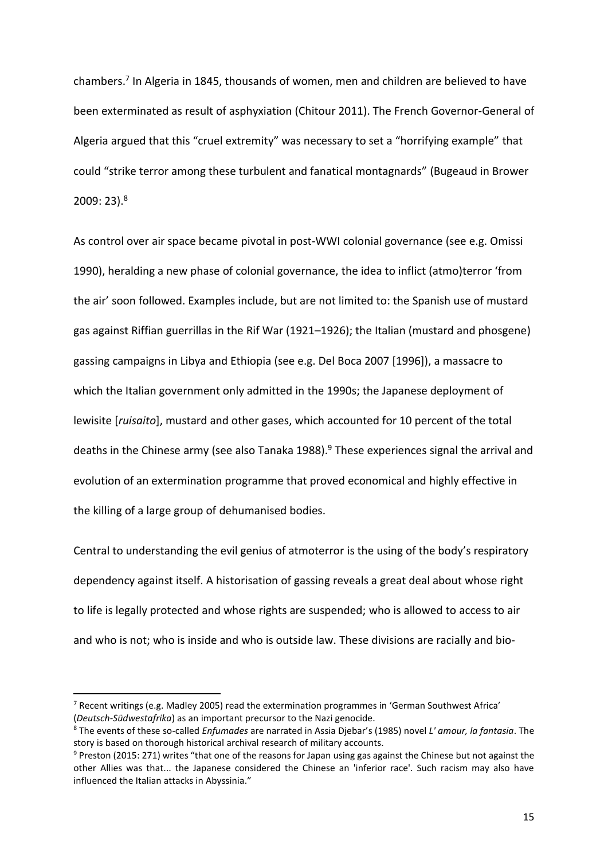chambers. 7 In Algeria in 1845, thousands of women, men and children are believed to have been exterminated as result of asphyxiation (Chitour 2011). The French Governor-General of Algeria argued that this "cruel extremity" was necessary to set a "horrifying example" that could "strike terror among these turbulent and fanatical montagnards" (Bugeaud in Brower 2009: 23). 8

As control over air space became pivotal in post-WWI colonial governance (see e.g. Omissi 1990), heralding a new phase of colonial governance, the idea to inflict (atmo)terror 'from the air' soon followed. Examples include, but are not limited to: the Spanish use of mustard gas against Riffian guerrillas in the Rif War (1921–1926); the Italian (mustard and phosgene) gassing campaigns in Libya and Ethiopia (see e.g. Del Boca 2007 [1996]), a massacre to which the Italian government only admitted in the 1990s; the Japanese deployment of lewisite [*ruisaito*], mustard and other gases, which accounted for 10 percent of the total deaths in the Chinese army (see also Tanaka 1988). <sup>9</sup> These experiences signal the arrival and evolution of an extermination programme that proved economical and highly effective in the killing of a large group of dehumanised bodies.

Central to understanding the evil genius of atmoterror is the using of the body's respiratory dependency against itself. A historisation of gassing reveals a great deal about whose right to life is legally protected and whose rights are suspended; who is allowed to access to air and who is not; who is inside and who is outside law. These divisions are racially and bio-

**.** 

 $7$  Recent writings (e.g. Madley 2005) read the extermination programmes in 'German Southwest Africa' (*Deutsch-Südwestafrika*) as an important precursor to the Nazi genocide.

<sup>8</sup> The events of these so-called *Enfumades* are narrated in Assia Djebar's (1985) novel *L' amour, la fantasia*. The story is based on thorough historical archival research of military accounts.

<sup>9</sup> Preston (2015: 271) writes "that one of the reasons for Japan using gas against the Chinese but not against the other Allies was that... the Japanese considered the Chinese an 'inferior race'. Such racism may also have influenced the Italian attacks in Abyssinia."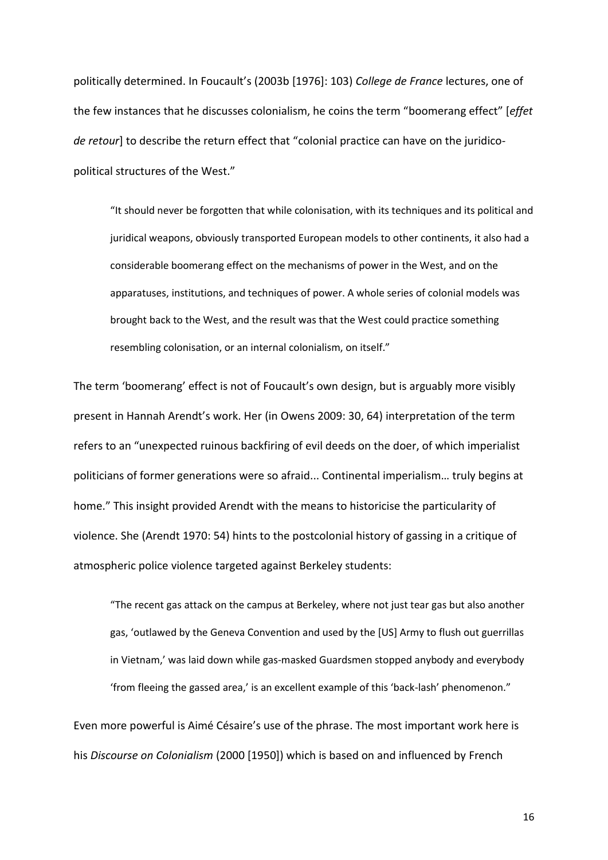politically determined. In Foucault's (2003b [1976]: 103) *College de France* lectures, one of the few instances that he discusses colonialism, he coins the term "boomerang effect" [*effet de retour*] to describe the return effect that "colonial practice can have on the juridicopolitical structures of the West."

"It should never be forgotten that while colonisation, with its techniques and its political and juridical weapons, obviously transported European models to other continents, it also had a considerable boomerang effect on the mechanisms of power in the West, and on the apparatuses, institutions, and techniques of power. A whole series of colonial models was brought back to the West, and the result was that the West could practice something resembling colonisation, or an internal colonialism, on itself."

The term 'boomerang' effect is not of Foucault's own design, but is arguably more visibly present in Hannah Arendt's work. Her (in Owens 2009: 30, 64) interpretation of the term refers to an "unexpected ruinous backfiring of evil deeds on the doer, of which imperialist politicians of former generations were so afraid... Continental imperialism… truly begins at home." This insight provided Arendt with the means to historicise the particularity of violence. She (Arendt 1970: 54) hints to the postcolonial history of gassing in a critique of atmospheric police violence targeted against Berkeley students:

"The recent gas attack on the campus at Berkeley, where not just tear gas but also another gas, 'outlawed by the Geneva Convention and used by the [US] Army to flush out guerrillas in Vietnam,' was laid down while gas-masked Guardsmen stopped anybody and everybody 'from fleeing the gassed area,' is an excellent example of this 'back-lash' phenomenon."

Even more powerful is Aimé Césaire's use of the phrase. The most important work here is his *Discourse on Colonialism* (2000 [1950]) which is based on and influenced by French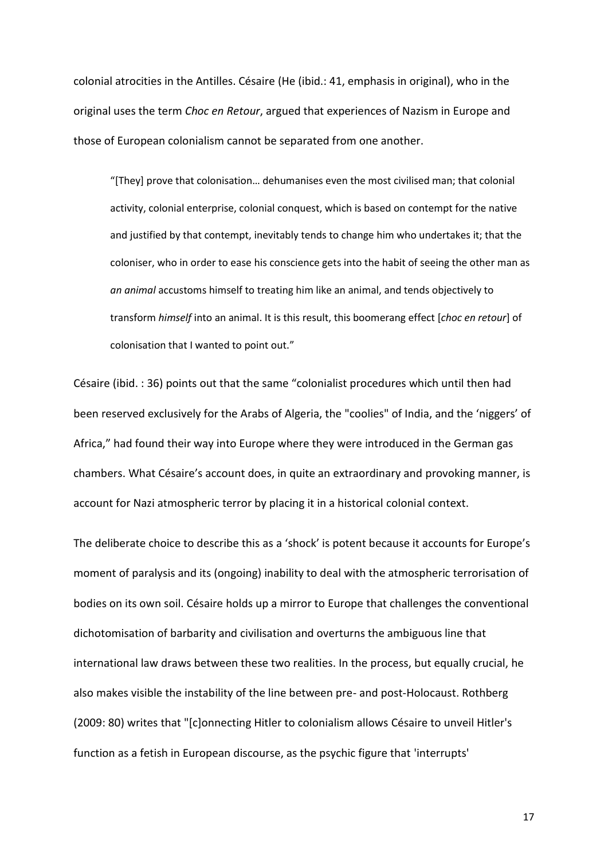colonial atrocities in the Antilles. Césaire (He (ibid.: 41, emphasis in original), who in the original uses the term *Choc en Retour*, argued that experiences of Nazism in Europe and those of European colonialism cannot be separated from one another.

"[They] prove that colonisation… dehumanises even the most civilised man; that colonial activity, colonial enterprise, colonial conquest, which is based on contempt for the native and justified by that contempt, inevitably tends to change him who undertakes it; that the coloniser, who in order to ease his conscience gets into the habit of seeing the other man as *an animal* accustoms himself to treating him like an animal, and tends objectively to transform *himself* into an animal. It is this result, this boomerang effect [*choc en retour*] of colonisation that I wanted to point out."

Césaire (ibid. : 36) points out that the same "colonialist procedures which until then had been reserved exclusively for the Arabs of Algeria, the "coolies" of India, and the 'niggers' of Africa," had found their way into Europe where they were introduced in the German gas chambers. What Césaire's account does, in quite an extraordinary and provoking manner, is account for Nazi atmospheric terror by placing it in a historical colonial context.

The deliberate choice to describe this as a 'shock' is potent because it accounts for Europe's moment of paralysis and its (ongoing) inability to deal with the atmospheric terrorisation of bodies on its own soil. Césaire holds up a mirror to Europe that challenges the conventional dichotomisation of barbarity and civilisation and overturns the ambiguous line that international law draws between these two realities. In the process, but equally crucial, he also makes visible the instability of the line between pre- and post-Holocaust. Rothberg (2009: 80) writes that "[c]onnecting Hitler to colonialism allows Césaire to unveil Hitler's function as a fetish in European discourse, as the psychic figure that 'interrupts'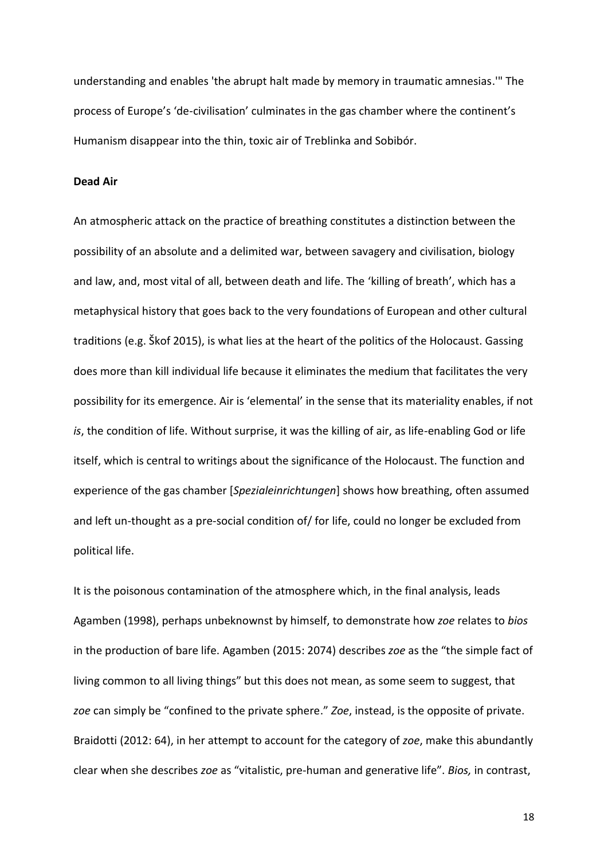understanding and enables 'the abrupt halt made by memory in traumatic amnesias.'" The process of Europe's 'de-civilisation' culminates in the gas chamber where the continent's Humanism disappear into the thin, toxic air of Treblinka and Sobibór.

### **Dead Air**

An atmospheric attack on the practice of breathing constitutes a distinction between the possibility of an absolute and a delimited war, between savagery and civilisation, biology and law, and, most vital of all, between death and life. The 'killing of breath', which has a metaphysical history that goes back to the very foundations of European and other cultural traditions (e.g. Škof 2015), is what lies at the heart of the politics of the Holocaust. Gassing does more than kill individual life because it eliminates the medium that facilitates the very possibility for its emergence. Air is 'elemental' in the sense that its materiality enables, if not *is*, the condition of life. Without surprise, it was the killing of air, as life-enabling God or life itself, which is central to writings about the significance of the Holocaust. The function and experience of the gas chamber [*Spezialeinrichtungen*] shows how breathing, often assumed and left un-thought as a pre-social condition of/ for life, could no longer be excluded from political life.

It is the poisonous contamination of the atmosphere which, in the final analysis, leads Agamben (1998), perhaps unbeknownst by himself, to demonstrate how *zoe* relates to *bios* in the production of bare life. Agamben (2015: 2074) describes *zoe* as the "the simple fact of living common to all living things" but this does not mean, as some seem to suggest, that *zoe* can simply be "confined to the private sphere." *Zoe*, instead, is the opposite of private. Braidotti (2012: 64), in her attempt to account for the category of *zoe*, make this abundantly clear when she describes *zoe* as "vitalistic, pre-human and generative life". *Bios,* in contrast,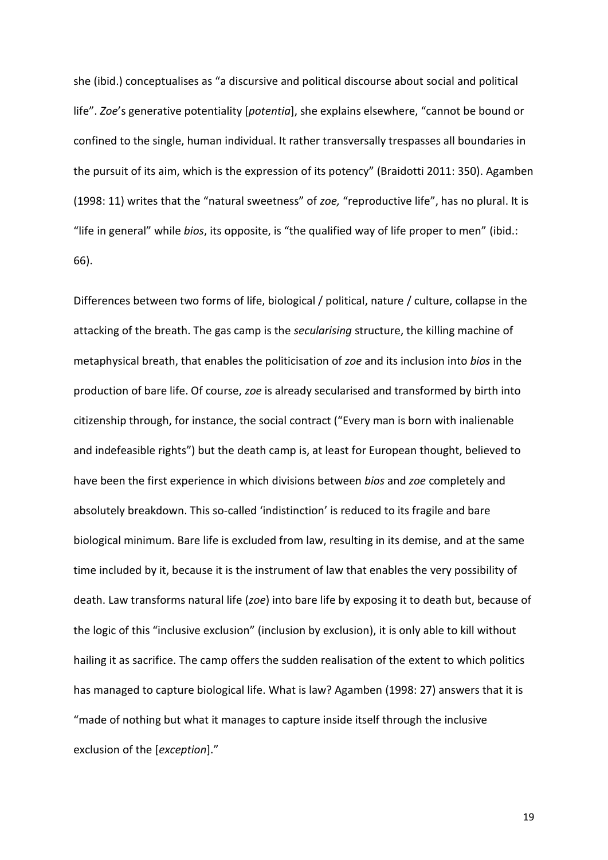she (ibid.) conceptualises as "a discursive and political discourse about social and political life". *Zoe*'s generative potentiality [*potentia*], she explains elsewhere, "cannot be bound or confined to the single, human individual. It rather transversally trespasses all boundaries in the pursuit of its aim, which is the expression of its potency" (Braidotti 2011: 350). Agamben (1998: 11) writes that the "natural sweetness" of *zoe,* "reproductive life", has no plural. It is "life in general" while *bios*, its opposite, is "the qualified way of life proper to men" (ibid.: 66).

Differences between two forms of life, biological / political, nature / culture, collapse in the attacking of the breath. The gas camp is the *secularising* structure, the killing machine of metaphysical breath, that enables the politicisation of *zoe* and its inclusion into *bios* in the production of bare life. Of course, *zoe* is already secularised and transformed by birth into citizenship through, for instance, the social contract ("Every man is born with inalienable and indefeasible rights") but the death camp is, at least for European thought, believed to have been the first experience in which divisions between *bios* and *zoe* completely and absolutely breakdown. This so-called 'indistinction' is reduced to its fragile and bare biological minimum. Bare life is excluded from law, resulting in its demise, and at the same time included by it, because it is the instrument of law that enables the very possibility of death. Law transforms natural life (*zoe*) into bare life by exposing it to death but, because of the logic of this "inclusive exclusion" (inclusion by exclusion), it is only able to kill without hailing it as sacrifice. The camp offers the sudden realisation of the extent to which politics has managed to capture biological life. What is law? Agamben (1998: 27) answers that it is "made of nothing but what it manages to capture inside itself through the inclusive exclusion of the [*exception*]."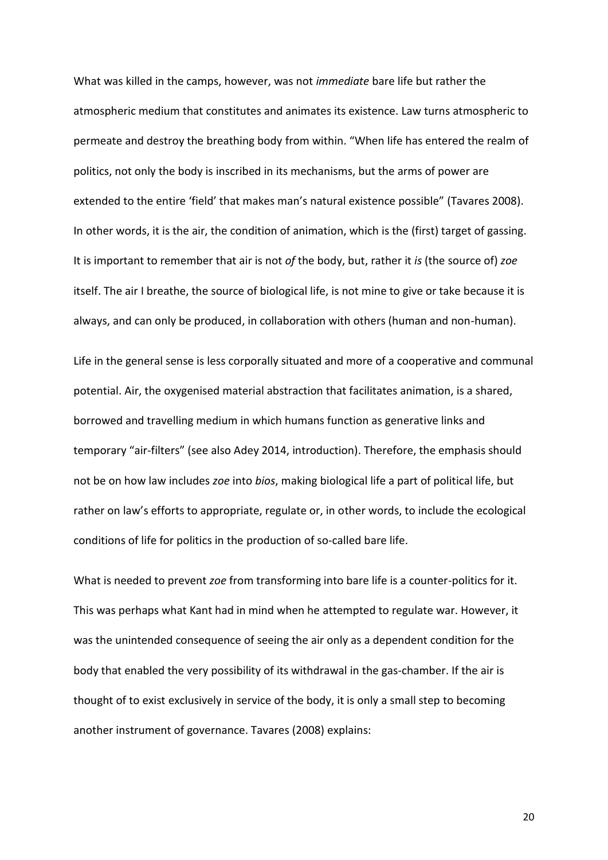What was killed in the camps, however, was not *immediate* bare life but rather the atmospheric medium that constitutes and animates its existence. Law turns atmospheric to permeate and destroy the breathing body from within. "When life has entered the realm of politics, not only the body is inscribed in its mechanisms, but the arms of power are extended to the entire 'field' that makes man's natural existence possible" (Tavares 2008). In other words, it is the air, the condition of animation, which is the (first) target of gassing. It is important to remember that air is not *of* the body, but, rather it *is* (the source of) *zoe* itself. The air I breathe, the source of biological life, is not mine to give or take because it is always, and can only be produced, in collaboration with others (human and non-human).

Life in the general sense is less corporally situated and more of a cooperative and communal potential. Air, the oxygenised material abstraction that facilitates animation, is a shared, borrowed and travelling medium in which humans function as generative links and temporary "air-filters" (see also Adey 2014, introduction). Therefore, the emphasis should not be on how law includes *zoe* into *bios*, making biological life a part of political life, but rather on law's efforts to appropriate, regulate or, in other words, to include the ecological conditions of life for politics in the production of so-called bare life.

What is needed to prevent *zoe* from transforming into bare life is a counter-politics for it. This was perhaps what Kant had in mind when he attempted to regulate war. However, it was the unintended consequence of seeing the air only as a dependent condition for the body that enabled the very possibility of its withdrawal in the gas-chamber. If the air is thought of to exist exclusively in service of the body, it is only a small step to becoming another instrument of governance. Tavares (2008) explains: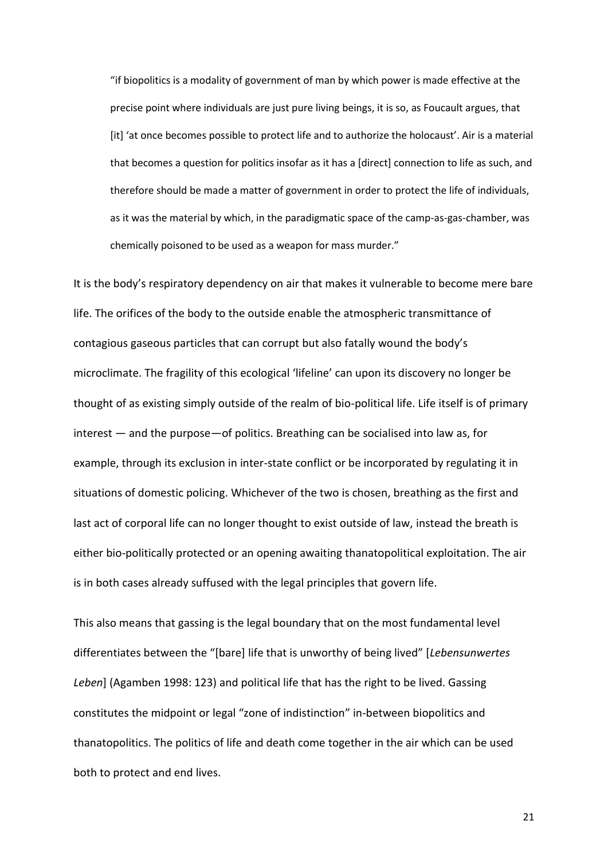"if biopolitics is a modality of government of man by which power is made effective at the precise point where individuals are just pure living beings, it is so, as Foucault argues, that [it] 'at once becomes possible to protect life and to authorize the holocaust'. Air is a material that becomes a question for politics insofar as it has a [direct] connection to life as such, and therefore should be made a matter of government in order to protect the life of individuals, as it was the material by which, in the paradigmatic space of the camp-as-gas-chamber, was chemically poisoned to be used as a weapon for mass murder."

It is the body's respiratory dependency on air that makes it vulnerable to become mere bare life. The orifices of the body to the outside enable the atmospheric transmittance of contagious gaseous particles that can corrupt but also fatally wound the body's microclimate. The fragility of this ecological 'lifeline' can upon its discovery no longer be thought of as existing simply outside of the realm of bio-political life. Life itself is of primary interest — and the purpose—of politics. Breathing can be socialised into law as, for example, through its exclusion in inter-state conflict or be incorporated by regulating it in situations of domestic policing. Whichever of the two is chosen, breathing as the first and last act of corporal life can no longer thought to exist outside of law, instead the breath is either bio-politically protected or an opening awaiting thanatopolitical exploitation. The air is in both cases already suffused with the legal principles that govern life.

This also means that gassing is the legal boundary that on the most fundamental level differentiates between the "[bare] life that is unworthy of being lived" [*Lebensunwertes Leben*] (Agamben 1998: 123) and political life that has the right to be lived. Gassing constitutes the midpoint or legal "zone of indistinction" in-between biopolitics and thanatopolitics. The politics of life and death come together in the air which can be used both to protect and end lives.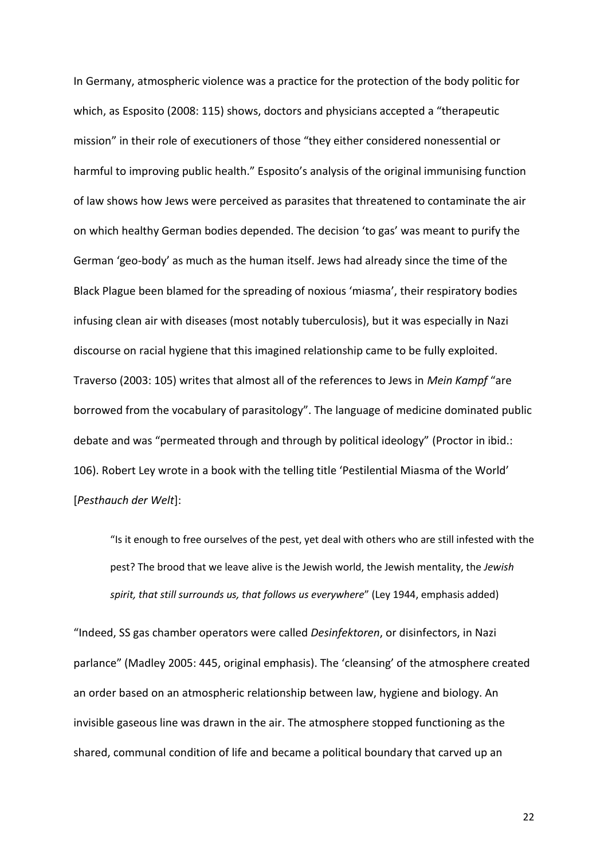In Germany, atmospheric violence was a practice for the protection of the body politic for which, as Esposito (2008: 115) shows, doctors and physicians accepted a "therapeutic mission" in their role of executioners of those "they either considered nonessential or harmful to improving public health." Esposito's analysis of the original immunising function of law shows how Jews were perceived as parasites that threatened to contaminate the air on which healthy German bodies depended. The decision 'to gas' was meant to purify the German 'geo-body' as much as the human itself. Jews had already since the time of the Black Plague been blamed for the spreading of noxious 'miasma', their respiratory bodies infusing clean air with diseases (most notably tuberculosis), but it was especially in Nazi discourse on racial hygiene that this imagined relationship came to be fully exploited. Traverso (2003: 105) writes that almost all of the references to Jews in *Mein Kampf* "are borrowed from the vocabulary of parasitology". The language of medicine dominated public debate and was "permeated through and through by political ideology" (Proctor in ibid.: 106). Robert Ley wrote in a book with the telling title 'Pestilential Miasma of the World' [*Pesthauch der Welt*]:

"Is it enough to free ourselves of the pest, yet deal with others who are still infested with the pest? The brood that we leave alive is the Jewish world, the Jewish mentality, the *Jewish spirit, that still surrounds us, that follows us everywhere*" (Ley 1944, emphasis added)

"Indeed, SS gas chamber operators were called *Desinfektoren*, or disinfectors, in Nazi parlance" (Madley 2005: 445, original emphasis). The 'cleansing' of the atmosphere created an order based on an atmospheric relationship between law, hygiene and biology. An invisible gaseous line was drawn in the air. The atmosphere stopped functioning as the shared, communal condition of life and became a political boundary that carved up an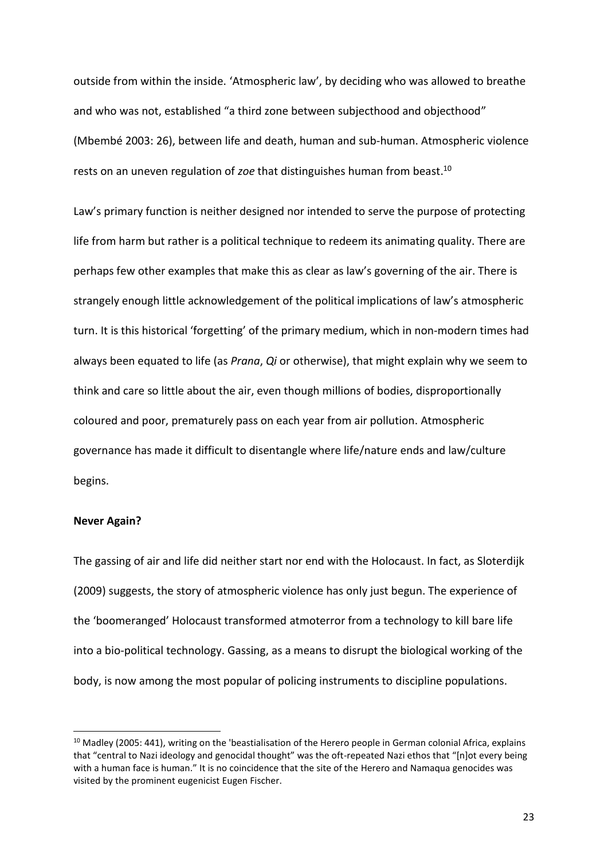outside from within the inside. 'Atmospheric law', by deciding who was allowed to breathe and who was not, established "a third zone between subjecthood and objecthood" (Mbembé 2003: 26), between life and death, human and sub-human. Atmospheric violence rests on an uneven regulation of *zoe* that distinguishes human from beast. 10

Law's primary function is neither designed nor intended to serve the purpose of protecting life from harm but rather is a political technique to redeem its animating quality. There are perhaps few other examples that make this as clear as law's governing of the air. There is strangely enough little acknowledgement of the political implications of law's atmospheric turn. It is this historical 'forgetting' of the primary medium, which in non-modern times had always been equated to life (as *Prana*, *Qi* or otherwise), that might explain why we seem to think and care so little about the air, even though millions of bodies, disproportionally coloured and poor, prematurely pass on each year from air pollution. Atmospheric governance has made it difficult to disentangle where life/nature ends and law/culture begins.

### **Never Again?**

1

The gassing of air and life did neither start nor end with the Holocaust. In fact, as Sloterdijk (2009) suggests, the story of atmospheric violence has only just begun. The experience of the 'boomeranged' Holocaust transformed atmoterror from a technology to kill bare life into a bio-political technology. Gassing, as a means to disrupt the biological working of the body, is now among the most popular of policing instruments to discipline populations.

<sup>&</sup>lt;sup>10</sup> Madley (2005: 441), writing on the 'beastialisation of the Herero people in German colonial Africa, explains that "central to Nazi ideology and genocidal thought" was the oft-repeated Nazi ethos that "[n]ot every being with a human face is human." It is no coincidence that the site of the Herero and Namaqua genocides was visited by the prominent eugenicist Eugen Fischer.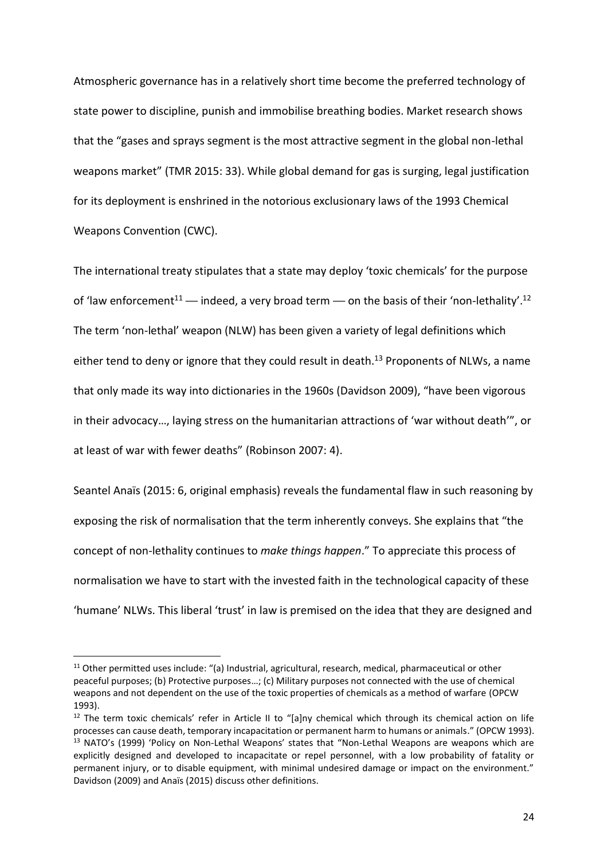Atmospheric governance has in a relatively short time become the preferred technology of state power to discipline, punish and immobilise breathing bodies. Market research shows that the "gases and sprays segment is the most attractive segment in the global non-lethal weapons market" (TMR 2015: 33). While global demand for gas is surging, legal justification for its deployment is enshrined in the notorious exclusionary laws of the 1993 Chemical Weapons Convention (CWC).

The international treaty stipulates that a state may deploy 'toxic chemicals' for the purpose of 'law enforcement<sup>11</sup> — indeed, a very broad term — on the basis of their 'non-lethality'.<sup>12</sup> The term 'non-lethal' weapon (NLW) has been given a variety of legal definitions which either tend to deny or ignore that they could result in death.<sup>13</sup> Proponents of NLWs, a name that only made its way into dictionaries in the 1960s (Davidson 2009), "have been vigorous in their advocacy…, laying stress on the humanitarian attractions of 'war without death'", or at least of war with fewer deaths" (Robinson 2007: 4).

Seantel Anaïs (2015: 6, original emphasis) reveals the fundamental flaw in such reasoning by exposing the risk of normalisation that the term inherently conveys. She explains that "the concept of non-lethality continues to *make things happen*." To appreciate this process of normalisation we have to start with the invested faith in the technological capacity of these 'humane' NLWs. This liberal 'trust' in law is premised on the idea that they are designed and

<sup>&</sup>lt;sup>11</sup> Other permitted uses include: "(a) Industrial, agricultural, research, medical, pharmaceutical or other peaceful purposes; (b) Protective purposes…; (c) Military purposes not connected with the use of chemical weapons and not dependent on the use of the toxic properties of chemicals as a method of warfare (OPCW 1993).

<sup>&</sup>lt;sup>12</sup> The term toxic chemicals' refer in Article II to "[a]ny chemical which through its chemical action on life processes can cause death, temporary incapacitation or permanent harm to humans or animals." (OPCW 1993). <sup>13</sup> NATO's (1999) 'Policy on Non-Lethal Weapons' states that "Non-Lethal Weapons are weapons which are explicitly designed and developed to incapacitate or repel personnel, with a low probability of fatality or permanent injury, or to disable equipment, with minimal undesired damage or impact on the environment." Davidson (2009) and Anaïs (2015) discuss other definitions.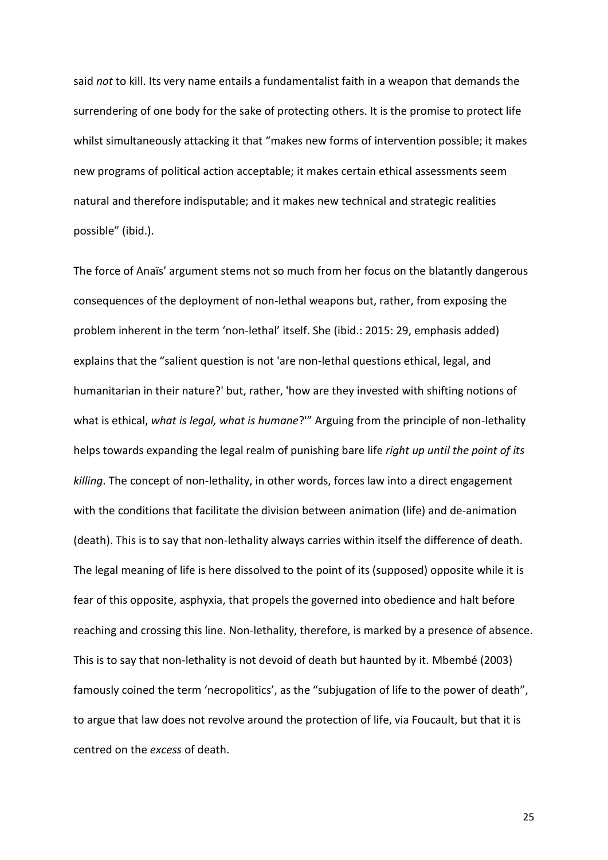said *not* to kill. Its very name entails a fundamentalist faith in a weapon that demands the surrendering of one body for the sake of protecting others. It is the promise to protect life whilst simultaneously attacking it that "makes new forms of intervention possible; it makes new programs of political action acceptable; it makes certain ethical assessments seem natural and therefore indisputable; and it makes new technical and strategic realities possible" (ibid.).

The force of Anaïs' argument stems not so much from her focus on the blatantly dangerous consequences of the deployment of non-lethal weapons but, rather, from exposing the problem inherent in the term 'non-lethal' itself. She (ibid.: 2015: 29, emphasis added) explains that the "salient question is not 'are non-lethal questions ethical, legal, and humanitarian in their nature?' but, rather, 'how are they invested with shifting notions of what is ethical, *what is legal, what is humane*?'" Arguing from the principle of non-lethality helps towards expanding the legal realm of punishing bare life *right up until the point of its killing*. The concept of non-lethality, in other words, forces law into a direct engagement with the conditions that facilitate the division between animation (life) and de-animation (death). This is to say that non-lethality always carries within itself the difference of death. The legal meaning of life is here dissolved to the point of its (supposed) opposite while it is fear of this opposite, asphyxia, that propels the governed into obedience and halt before reaching and crossing this line. Non-lethality, therefore, is marked by a presence of absence. This is to say that non-lethality is not devoid of death but haunted by it. Mbembé (2003) famously coined the term 'necropolitics', as the "subjugation of life to the power of death", to argue that law does not revolve around the protection of life, via Foucault, but that it is centred on the *excess* of death.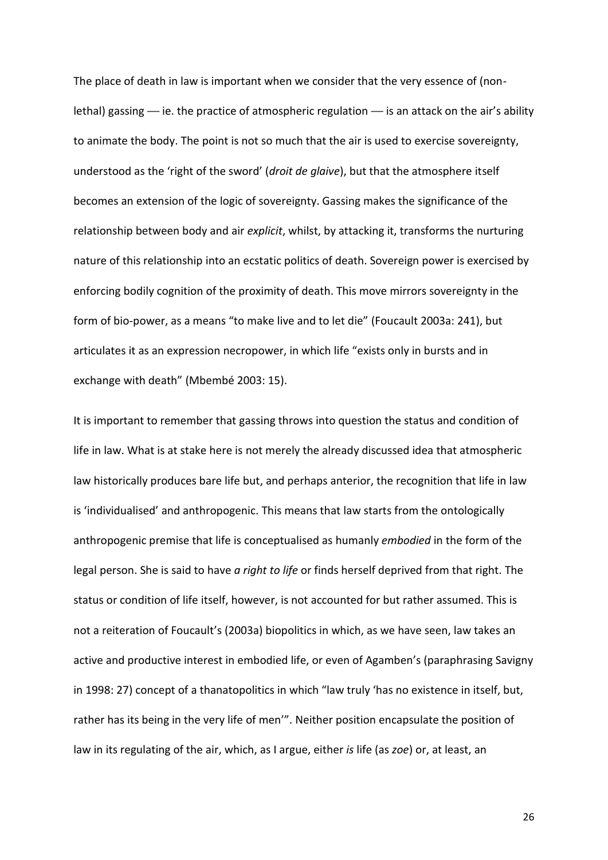The place of death in law is important when we consider that the very essence of (nonlethal) gassing *—* ie. the practice of atmospheric regulation *—* is an attack on the air's ability to animate the body. The point is not so much that the air is used to exercise sovereignty, understood as the 'right of the sword' (*droit de glaive*), but that the atmosphere itself becomes an extension of the logic of sovereignty. Gassing makes the significance of the relationship between body and air *explicit*, whilst, by attacking it, transforms the nurturing nature of this relationship into an ecstatic politics of death. Sovereign power is exercised by enforcing bodily cognition of the proximity of death. This move mirrors sovereignty in the form of bio-power, as a means "to make live and to let die" (Foucault 2003a: 241), but articulates it as an expression necropower, in which life "exists only in bursts and in exchange with death" (Mbembé 2003: 15).

It is important to remember that gassing throws into question the status and condition of life in law. What is at stake here is not merely the already discussed idea that atmospheric law historically produces bare life but, and perhaps anterior, the recognition that life in law is 'individualised' and anthropogenic. This means that law starts from the ontologically anthropogenic premise that life is conceptualised as humanly *embodied* in the form of the legal person. She is said to have *a right to life* or finds herself deprived from that right. The status or condition of life itself, however, is not accounted for but rather assumed. This is not a reiteration of Foucault's (2003a) biopolitics in which, as we have seen, law takes an active and productive interest in embodied life, or even of Agamben's (paraphrasing Savigny in 1998: 27) concept of a thanatopolitics in which "law truly 'has no existence in itself, but, rather has its being in the very life of men'". Neither position encapsulate the position of law in its regulating of the air, which, as I argue, either *is* life (as *zoe*) or, at least, an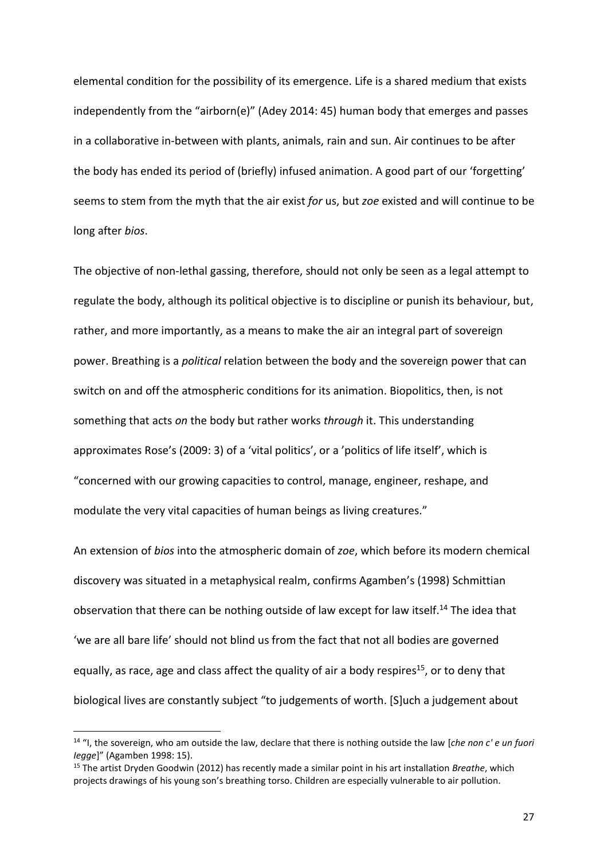elemental condition for the possibility of its emergence. Life is a shared medium that exists independently from the "airborn(e)" (Adey 2014: 45) human body that emerges and passes in a collaborative in-between with plants, animals, rain and sun. Air continues to be after the body has ended its period of (briefly) infused animation. A good part of our 'forgetting' seems to stem from the myth that the air exist *for* us, but *zoe* existed and will continue to be long after *bios*.

The objective of non-lethal gassing, therefore, should not only be seen as a legal attempt to regulate the body, although its political objective is to discipline or punish its behaviour, but, rather, and more importantly, as a means to make the air an integral part of sovereign power. Breathing is a *political* relation between the body and the sovereign power that can switch on and off the atmospheric conditions for its animation. Biopolitics, then, is not something that acts *on* the body but rather works *through* it. This understanding approximates Rose's (2009: 3) of a 'vital politics', or a 'politics of life itself', which is "concerned with our growing capacities to control, manage, engineer, reshape, and modulate the very vital capacities of human beings as living creatures."

An extension of *bios* into the atmospheric domain of *zoe*, which before its modern chemical discovery was situated in a metaphysical realm, confirms Agamben's (1998) Schmittian observation that there can be nothing outside of law except for law itself.<sup>14</sup> The idea that 'we are all bare life' should not blind us from the fact that not all bodies are governed equally, as race, age and class affect the quality of air a body respires<sup>15</sup>, or to deny that biological lives are constantly subject "to judgements of worth. [S]uch a judgement about

<sup>14</sup> "I, the sovereign, who am outside the law, declare that there is nothing outside the law [*che non c' e un fuori Iegge*]" (Agamben 1998: 15).

<sup>15</sup> The artist Dryden Goodwin (2012) has recently made a similar point in his art installation *Breathe*, which projects drawings of his young son's breathing torso. Children are especially vulnerable to air pollution.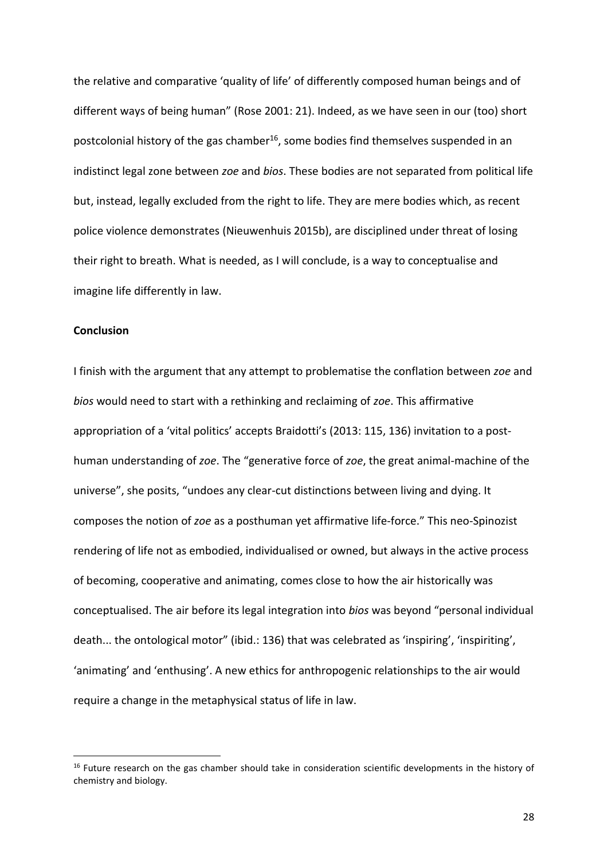the relative and comparative 'quality of life' of differently composed human beings and of different ways of being human" (Rose 2001: 21). Indeed, as we have seen in our (too) short postcolonial history of the gas chamber<sup>16</sup>, some bodies find themselves suspended in an indistinct legal zone between *zoe* and *bios*. These bodies are not separated from political life but, instead, legally excluded from the right to life. They are mere bodies which, as recent police violence demonstrates (Nieuwenhuis 2015b), are disciplined under threat of losing their right to breath. What is needed, as I will conclude, is a way to conceptualise and imagine life differently in law.

# **Conclusion**

1

I finish with the argument that any attempt to problematise the conflation between *zoe* and *bios* would need to start with a rethinking and reclaiming of *zoe*. This affirmative appropriation of a 'vital politics' accepts Braidotti's (2013: 115, 136) invitation to a posthuman understanding of *zoe*. The "generative force of *zoe*, the great animal-machine of the universe", she posits, "undoes any clear-cut distinctions between living and dying. It composes the notion of *zoe* as a posthuman yet affirmative life-force." This neo-Spinozist rendering of life not as embodied, individualised or owned, but always in the active process of becoming, cooperative and animating, comes close to how the air historically was conceptualised. The air before its legal integration into *bios* was beyond "personal individual death... the ontological motor" (ibid.: 136) that was celebrated as 'inspiring', 'inspiriting', 'animating' and 'enthusing'. A new ethics for anthropogenic relationships to the air would require a change in the metaphysical status of life in law.

<sup>&</sup>lt;sup>16</sup> Future research on the gas chamber should take in consideration scientific developments in the history of chemistry and biology.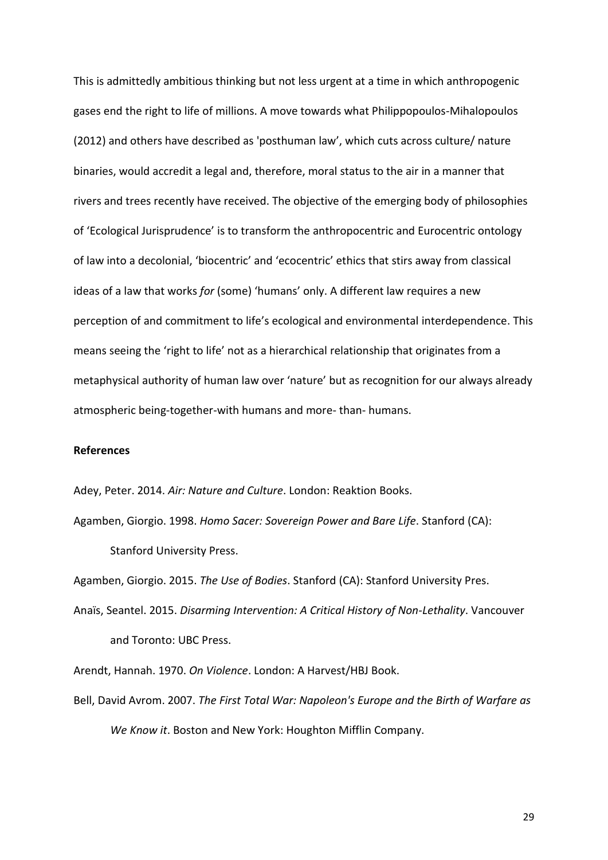This is admittedly ambitious thinking but not less urgent at a time in which anthropogenic gases end the right to life of millions. A move towards what Philippopoulos-Mihalopoulos (2012) and others have described as 'posthuman law', which cuts across culture/ nature binaries, would accredit a legal and, therefore, moral status to the air in a manner that rivers and trees recently have received. The objective of the emerging body of philosophies of 'Ecological Jurisprudence' is to transform the anthropocentric and Eurocentric ontology of law into a decolonial, 'biocentric' and 'ecocentric' ethics that stirs away from classical ideas of a law that works *for* (some) 'humans' only. A different law requires a new perception of and commitment to life's ecological and environmental interdependence. This means seeing the 'right to life' not as a hierarchical relationship that originates from a metaphysical authority of human law over 'nature' but as recognition for our always already atmospheric being-together-with humans and more- than- humans.

### **References**

Adey, Peter. 2014. *Air: Nature and Culture*. London: Reaktion Books.

Agamben, Giorgio. 1998. *Homo Sacer: Sovereign Power and Bare Life*. Stanford (CA): Stanford University Press.

Agamben, Giorgio. 2015. *The Use of Bodies*. Stanford (CA): Stanford University Pres.

Anaïs, Seantel. 2015. *Disarming Intervention: A Critical History of Non-Lethality*. Vancouver and Toronto: UBC Press.

Arendt, Hannah. 1970. *On Violence*. London: A Harvest/HBJ Book.

Bell, David Avrom. 2007. *The First Total War: Napoleon's Europe and the Birth of Warfare as We Know it*. Boston and New York: Houghton Mifflin Company.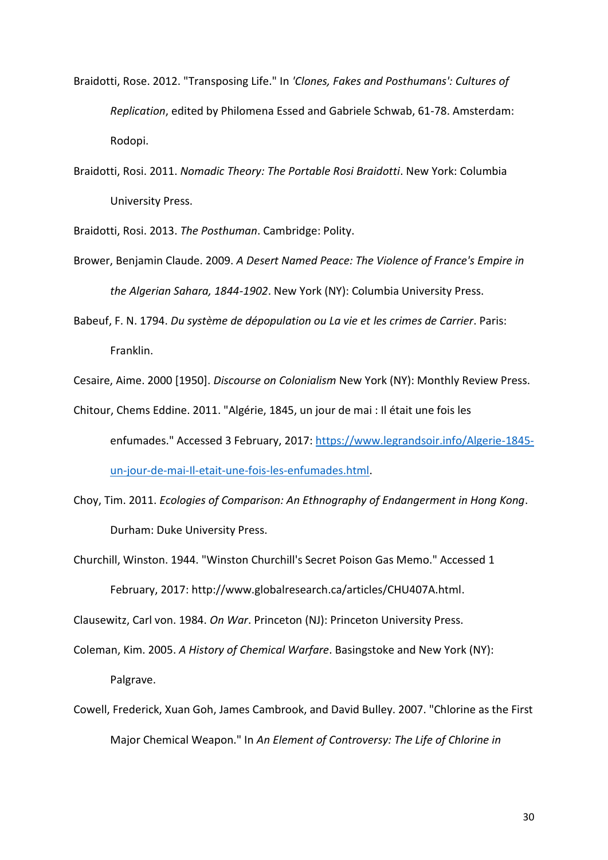- Braidotti, Rose. 2012. "Transposing Life." In *'Clones, Fakes and Posthumans': Cultures of Replication*, edited by Philomena Essed and Gabriele Schwab, 61-78. Amsterdam: Rodopi.
- Braidotti, Rosi. 2011. *Nomadic Theory: The Portable Rosi Braidotti*. New York: Columbia University Press.

Braidotti, Rosi. 2013. *The Posthuman*. Cambridge: Polity.

- Brower, Benjamin Claude. 2009. *A Desert Named Peace: The Violence of France's Empire in the Algerian Sahara, 1844-1902*. New York (NY): Columbia University Press.
- Babeuf, F. N. 1794. *Du système de dépopulation ou La vie et les crimes de Carrier*. Paris: Franklin.

Cesaire, Aime. 2000 [1950]. *Discourse on Colonialism* New York (NY): Monthly Review Press.

- Chitour, Chems Eddine. 2011. "Algérie, 1845, un jour de mai : Il était une fois les enfumades." Accessed 3 February, 2017: [https://www.legrandsoir.info/Algerie-1845](https://www.legrandsoir.info/Algerie-1845-un-jour-de-mai-Il-etait-une-fois-les-enfumades.html) [un-jour-de-mai-Il-etait-une-fois-les-enfumades.html.](https://www.legrandsoir.info/Algerie-1845-un-jour-de-mai-Il-etait-une-fois-les-enfumades.html)
- Choy, Tim. 2011. *Ecologies of Comparison: An Ethnography of Endangerment in Hong Kong*. Durham: Duke University Press.
- Churchill, Winston. 1944. "Winston Churchill's Secret Poison Gas Memo." Accessed 1 February, 2017: http://www.globalresearch.ca/articles/CHU407A.html.

Clausewitz, Carl von. 1984. *On War*. Princeton (NJ): Princeton University Press.

- Coleman, Kim. 2005. *A History of Chemical Warfare*. Basingstoke and New York (NY): Palgrave.
- Cowell, Frederick, Xuan Goh, James Cambrook, and David Bulley. 2007. "Chlorine as the First Major Chemical Weapon." In *An Element of Controversy: The Life of Chlorine in*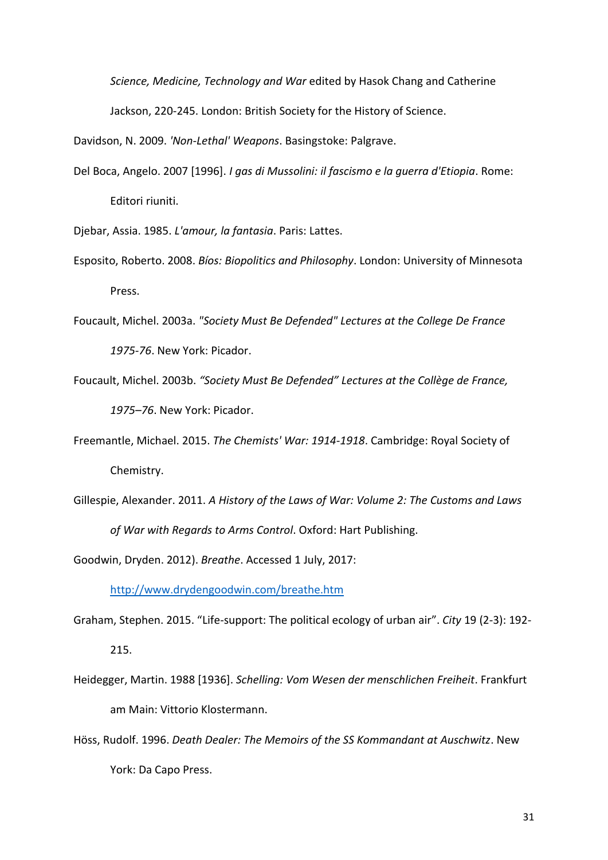*Science, Medicine, Technology and War* edited by Hasok Chang and Catherine Jackson, 220-245. London: British Society for the History of Science.

Davidson, N. 2009. *'Non-Lethal' Weapons*. Basingstoke: Palgrave.

Del Boca, Angelo. 2007 [1996]. *I gas di Mussolini: il fascismo e la guerra d'Etiopia*. Rome: Editori riuniti.

Djebar, Assia. 1985. *L'amour, la fantasia*. Paris: Lattes.

- Esposito, Roberto. 2008. *Bíos: Biopolitics and Philosophy*. London: University of Minnesota Press.
- Foucault, Michel. 2003a. *"Society Must Be Defended" Lectures at the College De France 1975-76*. New York: Picador.
- Foucault, Michel. 2003b. *"Society Must Be Defended" Lectures at the Collège de France, 1975–76*. New York: Picador.
- Freemantle, Michael. 2015. *The Chemists' War: 1914-1918*. Cambridge: Royal Society of Chemistry.
- Gillespie, Alexander. 2011. *A History of the Laws of War: Volume 2: The Customs and Laws of War with Regards to Arms Control*. Oxford: Hart Publishing.

Goodwin, Dryden. 2012). *Breathe*. Accessed 1 July, 2017:

<http://www.drydengoodwin.com/breathe.htm>

- Graham, Stephen. 2015. "Life-support: The political ecology of urban air". *City* 19 (2-3): 192- 215.
- Heidegger, Martin. 1988 [1936]. *Schelling: Vom Wesen der menschlichen Freiheit*. Frankfurt am Main: Vittorio Klostermann.
- Höss, Rudolf. 1996. *Death Dealer: The Memoirs of the SS Kommandant at Auschwitz*. New York: Da Capo Press.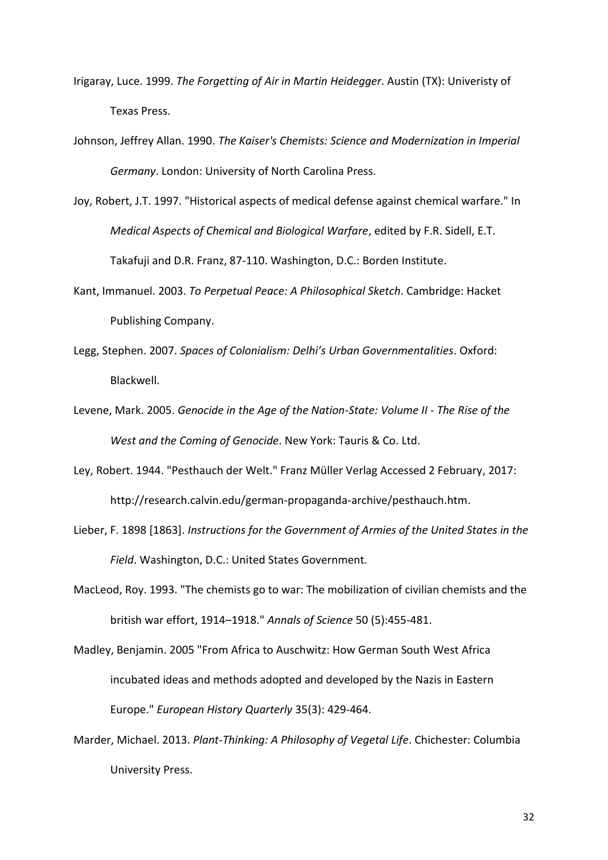- Irigaray, Luce. 1999. *The Forgetting of Air in Martin Heidegger*. Austin (TX): Univeristy of Texas Press.
- Johnson, Jeffrey Allan. 1990. *The Kaiser's Chemists: Science and Modernization in Imperial Germany*. London: University of North Carolina Press.
- Joy, Robert, J.T. 1997. "Historical aspects of medical defense against chemical warfare." In *Medical Aspects of Chemical and Biological Warfare*, edited by F.R. Sidell, E.T. Takafuji and D.R. Franz, 87-110. Washington, D.C.: Borden Institute.
- Kant, Immanuel. 2003. *To Perpetual Peace: A Philosophical Sketch*. Cambridge: Hacket Publishing Company.
- Legg, Stephen. 2007. *Spaces of Colonialism: Delhi's Urban Governmentalities*. Oxford: Blackwell.
- Levene, Mark. 2005. *Genocide in the Age of the Nation-State: Volume II - The Rise of the West and the Coming of Genocide*. New York: Tauris & Co. Ltd.
- Ley, Robert. 1944. "Pesthauch der Welt." Franz Müller Verlag Accessed 2 February, 2017: http://research.calvin.edu/german-propaganda-archive/pesthauch.htm.
- Lieber, F. 1898 [1863]. *Instructions for the Government of Armies of the United States in the Field*. Washington, D.C.: United States Government.
- MacLeod, Roy. 1993. "The chemists go to war: The mobilization of civilian chemists and the british war effort, 1914–1918." *Annals of Science* 50 (5):455-481.
- Madley, Benjamin. 2005 "From Africa to Auschwitz: How German South West Africa incubated ideas and methods adopted and developed by the Nazis in Eastern Europe." *European History Quarterly* 35(3): 429-464.
- Marder, Michael. 2013. *Plant-Thinking: A Philosophy of Vegetal Life*. Chichester: Columbia University Press.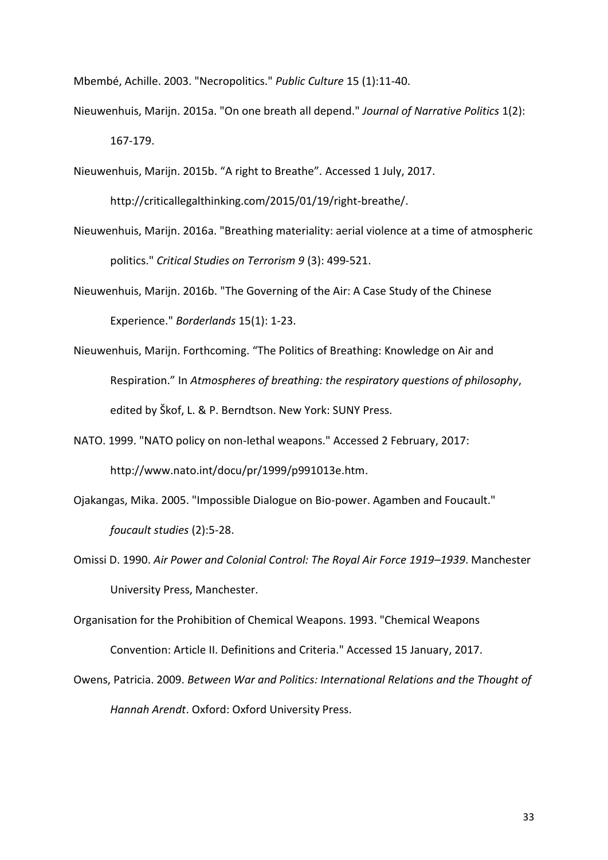Mbembé, Achille. 2003. "Necropolitics." *Public Culture* 15 (1):11-40.

- Nieuwenhuis, Marijn. 2015a. "On one breath all depend." *Journal of Narrative Politics* 1(2): 167-179.
- Nieuwenhuis, Marijn. 2015b. "A right to Breathe". Accessed 1 July, 2017.

http://criticallegalthinking.com/2015/01/19/right-breathe/.

- Nieuwenhuis, Marijn. 2016a. "Breathing materiality: aerial violence at a time of atmospheric politics." *Critical Studies on Terrorism 9* (3): 499-521.
- Nieuwenhuis, Marijn. 2016b. "The Governing of the Air: A Case Study of the Chinese Experience." *Borderlands* 15(1): 1-23.
- Nieuwenhuis, Marijn. Forthcoming. "The Politics of Breathing: Knowledge on Air and Respiration." In *Atmospheres of breathing: the respiratory questions of philosophy*, edited by Škof, L. & P. Berndtson. New York: SUNY Press.
- NATO. 1999. "NATO policy on non-lethal weapons." Accessed 2 February, 2017: http://www.nato.int/docu/pr/1999/p991013e.htm.
- Ojakangas, Mika. 2005. "Impossible Dialogue on Bio-power. Agamben and Foucault." *foucault studies* (2):5-28.
- Omissi D. 1990. *Air Power and Colonial Control: The Royal Air Force 1919–1939*. Manchester University Press, Manchester.
- Organisation for the Prohibition of Chemical Weapons. 1993. "Chemical Weapons Convention: Article II. Definitions and Criteria." Accessed 15 January, 2017.
- Owens, Patricia. 2009. *Between War and Politics: International Relations and the Thought of Hannah Arendt*. Oxford: Oxford University Press.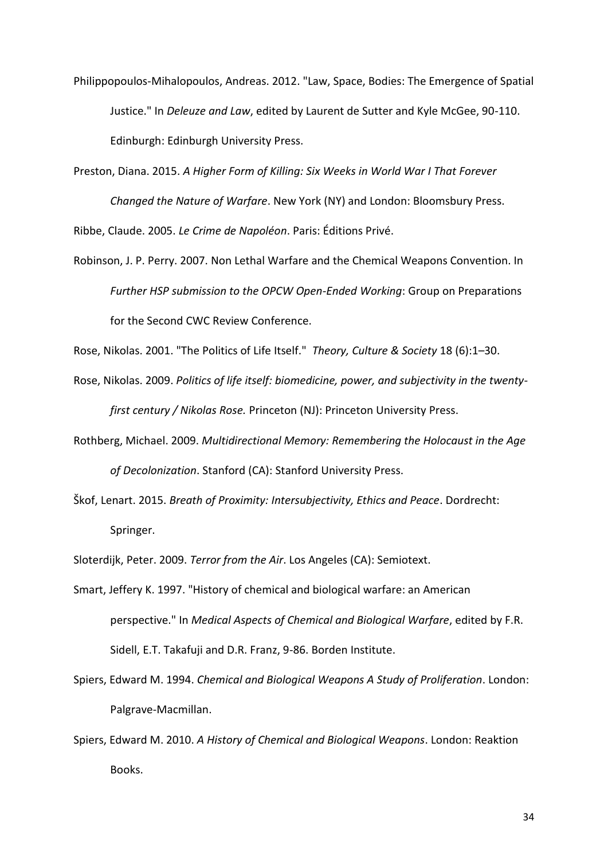- Philippopoulos-Mihalopoulos, Andreas. 2012. "Law, Space, Bodies: The Emergence of Spatial Justice." In *Deleuze and Law*, edited by Laurent de Sutter and Kyle McGee, 90-110. Edinburgh: Edinburgh University Press.
- Preston, Diana. 2015. *A Higher Form of Killing: Six Weeks in World War I That Forever Changed the Nature of Warfare*. New York (NY) and London: Bloomsbury Press.

Ribbe, Claude. 2005. *Le Crime de Napoléon*. Paris: Éditions Privé.

Robinson, J. P. Perry. 2007. Non Lethal Warfare and the Chemical Weapons Convention. In *Further HSP submission to the OPCW Open-Ended Working*: Group on Preparations for the Second CWC Review Conference.

Rose, Nikolas. 2001. "The Politics of Life Itself." *Theory, Culture & Society* 18 (6):1–30.

- Rose, Nikolas. 2009. *Politics of life itself: biomedicine, power, and subjectivity in the twentyfirst century / Nikolas Rose.* Princeton (NJ): Princeton University Press.
- Rothberg, Michael. 2009. *Multidirectional Memory: Remembering the Holocaust in the Age of Decolonization*. Stanford (CA): Stanford University Press.
- Škof, Lenart. 2015. *Breath of Proximity: Intersubjectivity, Ethics and Peace*. Dordrecht: Springer.

Sloterdijk, Peter. 2009. *Terror from the Air*. Los Angeles (CA): Semiotext.

- Smart, Jeffery K. 1997. "History of chemical and biological warfare: an American perspective." In *Medical Aspects of Chemical and Biological Warfare*, edited by F.R. Sidell, E.T. Takafuji and D.R. Franz, 9-86. Borden Institute.
- Spiers, Edward M. 1994. *Chemical and Biological Weapons A Study of Proliferation*. London: Palgrave-Macmillan.
- Spiers, Edward M. 2010. *A History of Chemical and Biological Weapons*. London: Reaktion Books.